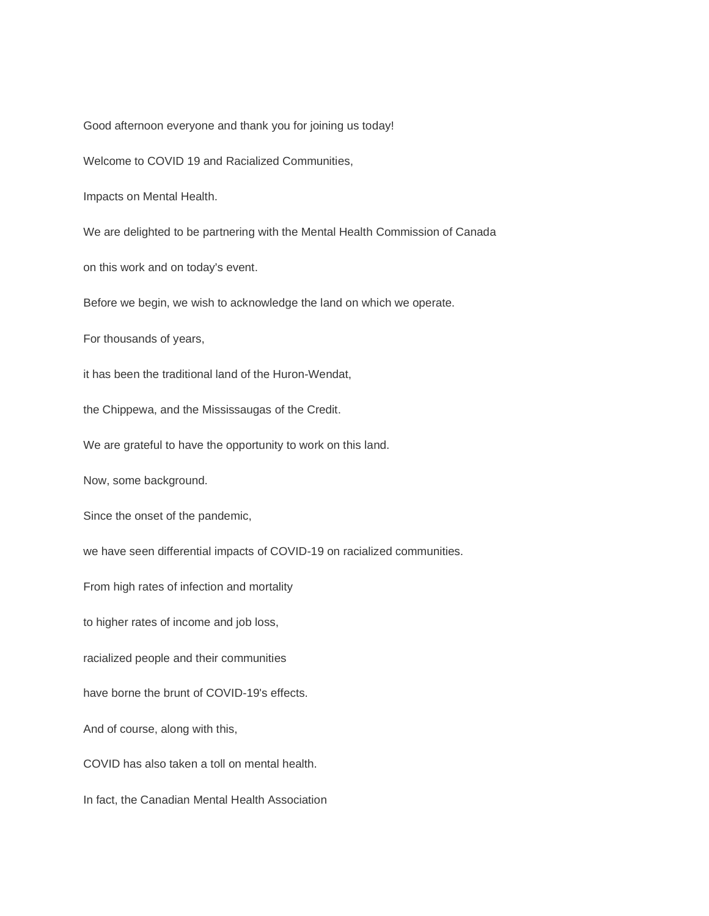Good afternoon everyone and thank you for joining us today!

Welcome to COVID 19 and Racialized Communities,

Impacts on Mental Health.

We are delighted to be partnering with the Mental Health Commission of Canada

on this work and on today's event.

Before we begin, we wish to acknowledge the land on which we operate.

For thousands of years,

it has been the traditional land of the Huron-Wendat,

the Chippewa, and the Mississaugas of the Credit.

We are grateful to have the opportunity to work on this land.

Now, some background.

Since the onset of the pandemic,

we have seen differential impacts of COVID-19 on racialized communities.

From high rates of infection and mortality

to higher rates of income and job loss,

racialized people and their communities

have borne the brunt of COVID-19's effects.

And of course, along with this,

COVID has also taken a toll on mental health.

In fact, the Canadian Mental Health Association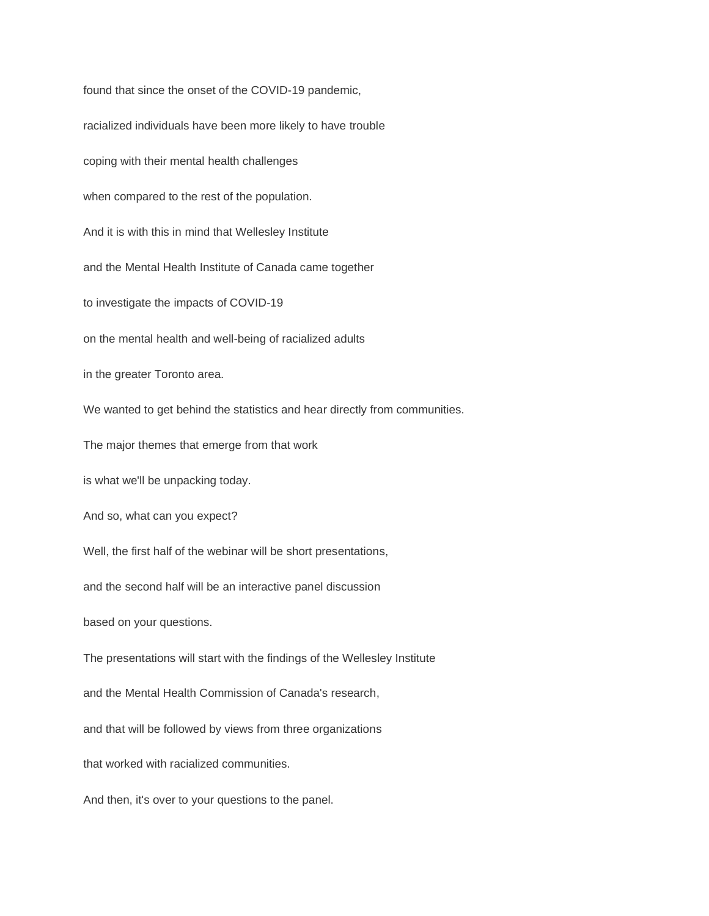found that since the onset of the COVID-19 pandemic, racialized individuals have been more likely to have trouble coping with their mental health challenges when compared to the rest of the population. And it is with this in mind that Wellesley Institute and the Mental Health Institute of Canada came together to investigate the impacts of COVID-19 on the mental health and well-being of racialized adults in the greater Toronto area. We wanted to get behind the statistics and hear directly from communities. The major themes that emerge from that work is what we'll be unpacking today. And so, what can you expect? Well, the first half of the webinar will be short presentations, and the second half will be an interactive panel discussion based on your questions. The presentations will start with the findings of the Wellesley Institute and the Mental Health Commission of Canada's research, and that will be followed by views from three organizations that worked with racialized communities. And then, it's over to your questions to the panel.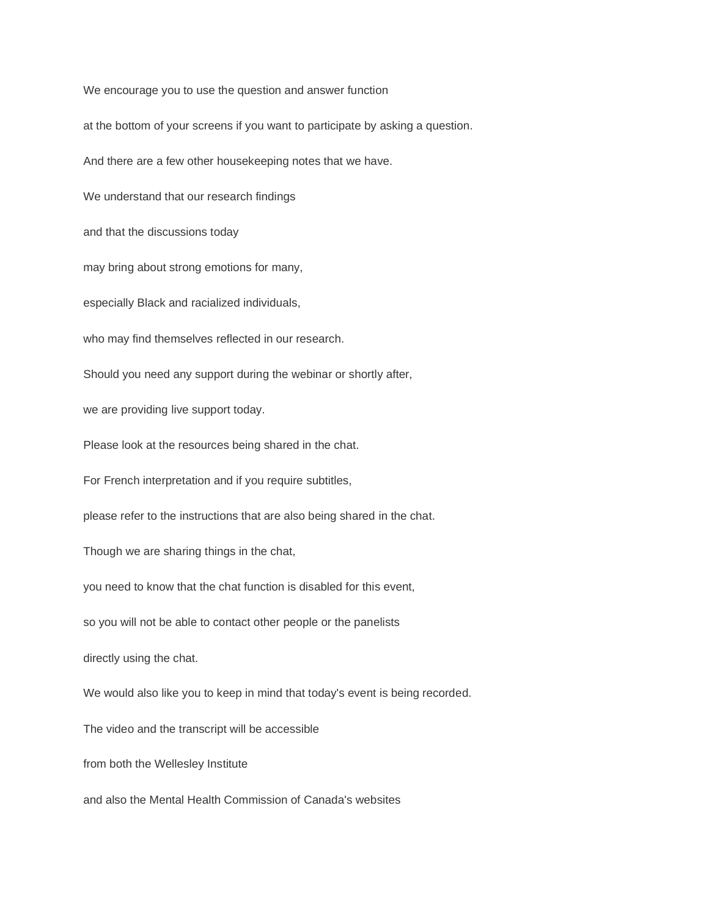We encourage you to use the question and answer function at the bottom of your screens if you want to participate by asking a question. And there are a few other housekeeping notes that we have. We understand that our research findings and that the discussions today may bring about strong emotions for many, especially Black and racialized individuals, who may find themselves reflected in our research. Should you need any support during the webinar or shortly after, we are providing live support today. Please look at the resources being shared in the chat. For French interpretation and if you require subtitles, please refer to the instructions that are also being shared in the chat. Though we are sharing things in the chat, you need to know that the chat function is disabled for this event, so you will not be able to contact other people or the panelists directly using the chat. We would also like you to keep in mind that today's event is being recorded. The video and the transcript will be accessible from both the Wellesley Institute and also the Mental Health Commission of Canada's websites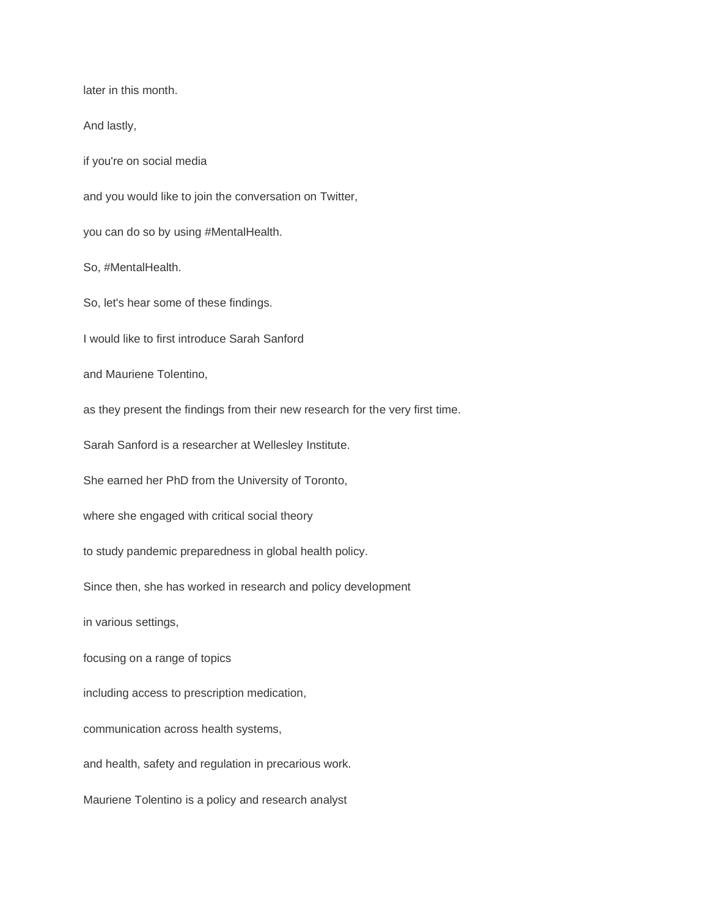later in this month.

And lastly,

if you're on social media

and you would like to join the conversation on Twitter,

you can do so by using #MentalHealth.

So, #MentalHealth.

So, let's hear some of these findings.

I would like to first introduce Sarah Sanford

and Mauriene Tolentino,

as they present the findings from their new research for the very first time.

Sarah Sanford is a researcher at Wellesley Institute.

She earned her PhD from the University of Toronto,

where she engaged with critical social theory

to study pandemic preparedness in global health policy.

Since then, she has worked in research and policy development

in various settings,

focusing on a range of topics

including access to prescription medication,

communication across health systems,

and health, safety and regulation in precarious work.

Mauriene Tolentino is a policy and research analyst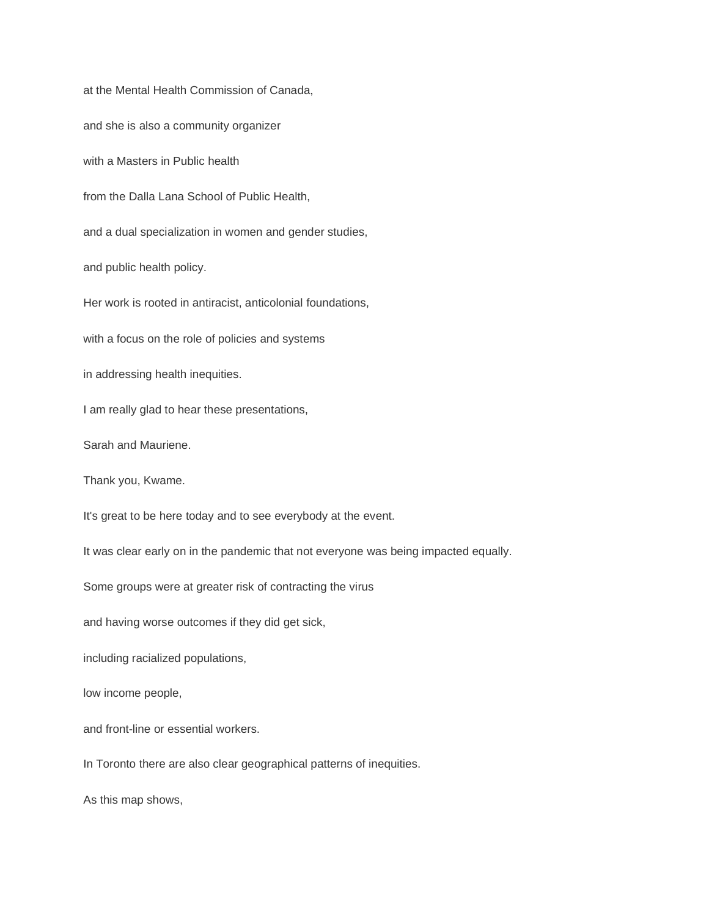at the Mental Health Commission of Canada, and she is also a community organizer with a Masters in Public health from the Dalla Lana School of Public Health, and a dual specialization in women and gender studies, and public health policy. Her work is rooted in antiracist, anticolonial foundations, with a focus on the role of policies and systems in addressing health inequities. I am really glad to hear these presentations, Sarah and Mauriene. Thank you, Kwame. It's great to be here today and to see everybody at the event. It was clear early on in the pandemic that not everyone was being impacted equally. Some groups were at greater risk of contracting the virus and having worse outcomes if they did get sick, including racialized populations, low income people, and front-line or essential workers. In Toronto there are also clear geographical patterns of inequities. As this map shows,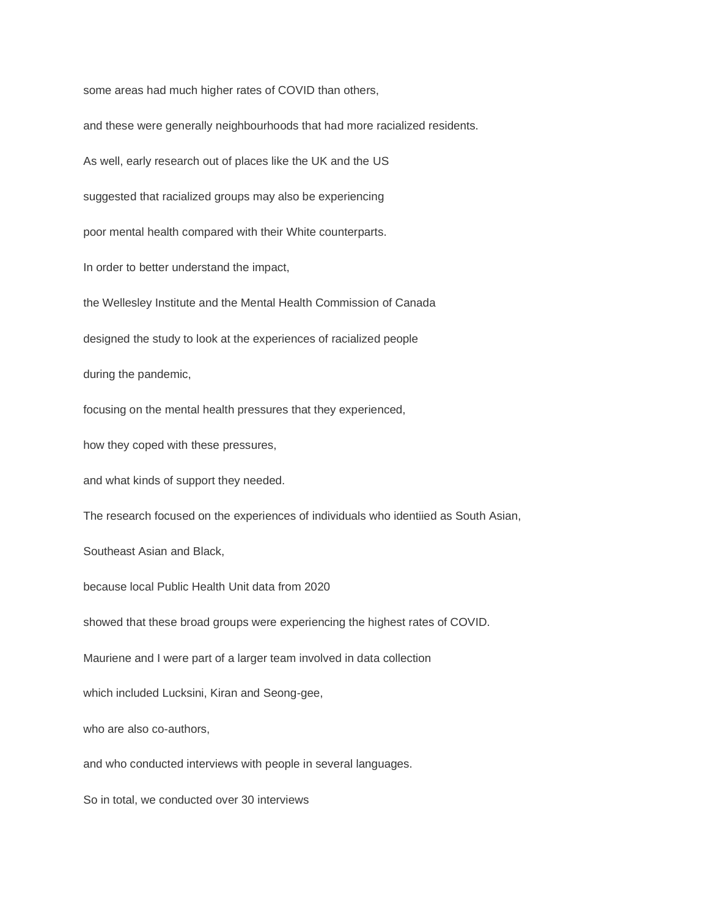some areas had much higher rates of COVID than others,

and these were generally neighbourhoods that had more racialized residents. As well, early research out of places like the UK and the US suggested that racialized groups may also be experiencing poor mental health compared with their White counterparts. In order to better understand the impact, the Wellesley Institute and the Mental Health Commission of Canada designed the study to look at the experiences of racialized people during the pandemic, focusing on the mental health pressures that they experienced, how they coped with these pressures, and what kinds of support they needed. The research focused on the experiences of individuals who identiied as South Asian, Southeast Asian and Black, because local Public Health Unit data from 2020 showed that these broad groups were experiencing the highest rates of COVID. Mauriene and I were part of a larger team involved in data collection which included Lucksini, Kiran and Seong-gee, who are also co-authors, and who conducted interviews with people in several languages. So in total, we conducted over 30 interviews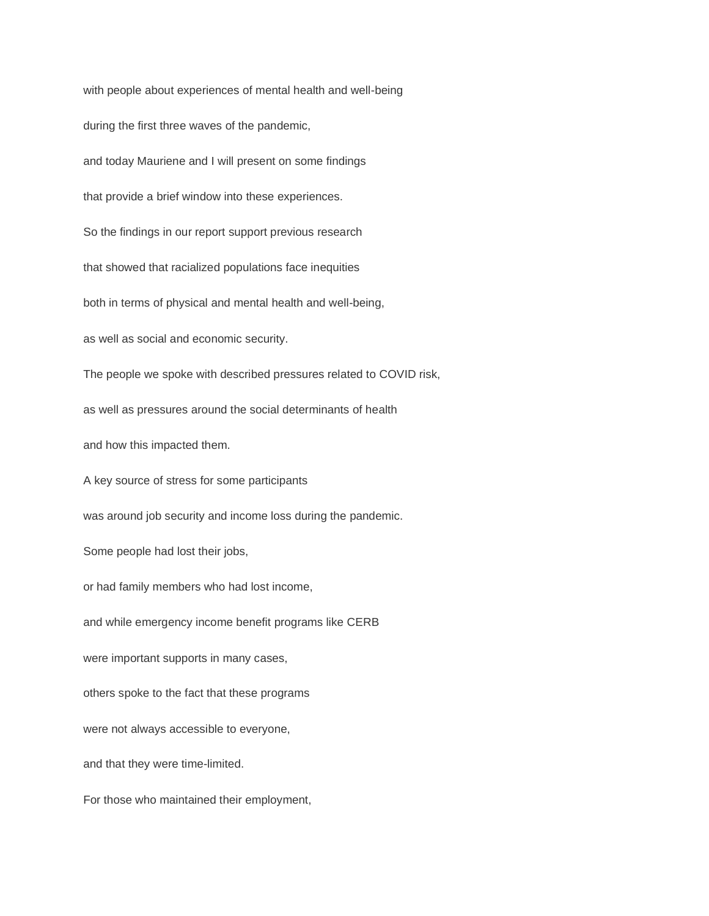with people about experiences of mental health and well-being during the first three waves of the pandemic, and today Mauriene and I will present on some findings that provide a brief window into these experiences. So the findings in our report support previous research that showed that racialized populations face inequities both in terms of physical and mental health and well-being, as well as social and economic security. The people we spoke with described pressures related to COVID risk, as well as pressures around the social determinants of health and how this impacted them. A key source of stress for some participants was around job security and income loss during the pandemic. Some people had lost their jobs, or had family members who had lost income, and while emergency income benefit programs like CERB were important supports in many cases, others spoke to the fact that these programs were not always accessible to everyone, and that they were time-limited. For those who maintained their employment,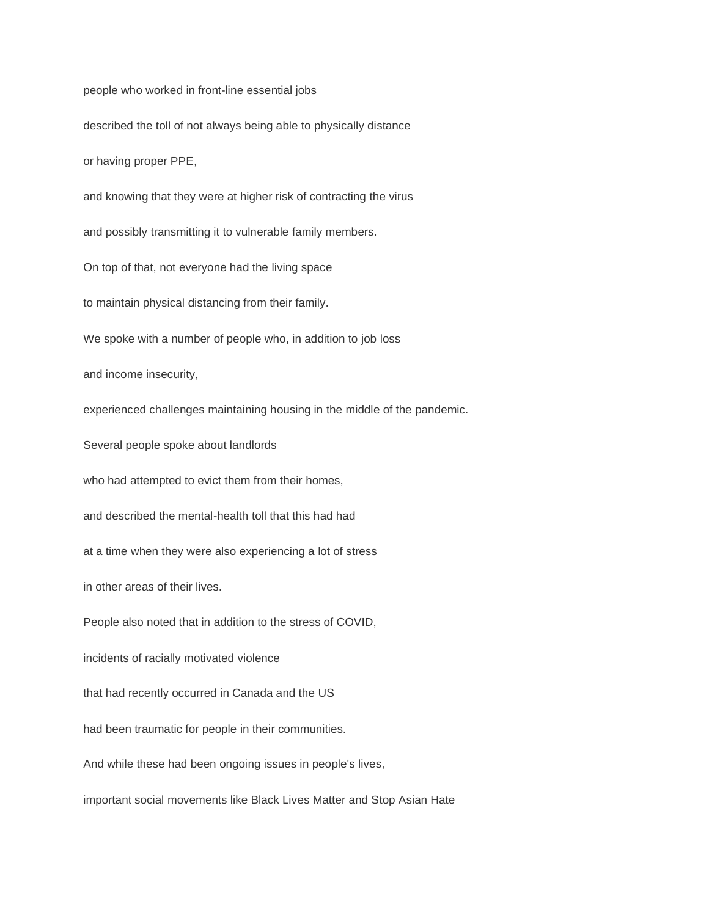people who worked in front-line essential jobs

described the toll of not always being able to physically distance

or having proper PPE,

and knowing that they were at higher risk of contracting the virus

and possibly transmitting it to vulnerable family members.

On top of that, not everyone had the living space

to maintain physical distancing from their family.

We spoke with a number of people who, in addition to job loss

and income insecurity,

experienced challenges maintaining housing in the middle of the pandemic.

Several people spoke about landlords

who had attempted to evict them from their homes,

and described the mental-health toll that this had had

at a time when they were also experiencing a lot of stress

in other areas of their lives.

People also noted that in addition to the stress of COVID,

incidents of racially motivated violence

that had recently occurred in Canada and the US

had been traumatic for people in their communities.

And while these had been ongoing issues in people's lives,

important social movements like Black Lives Matter and Stop Asian Hate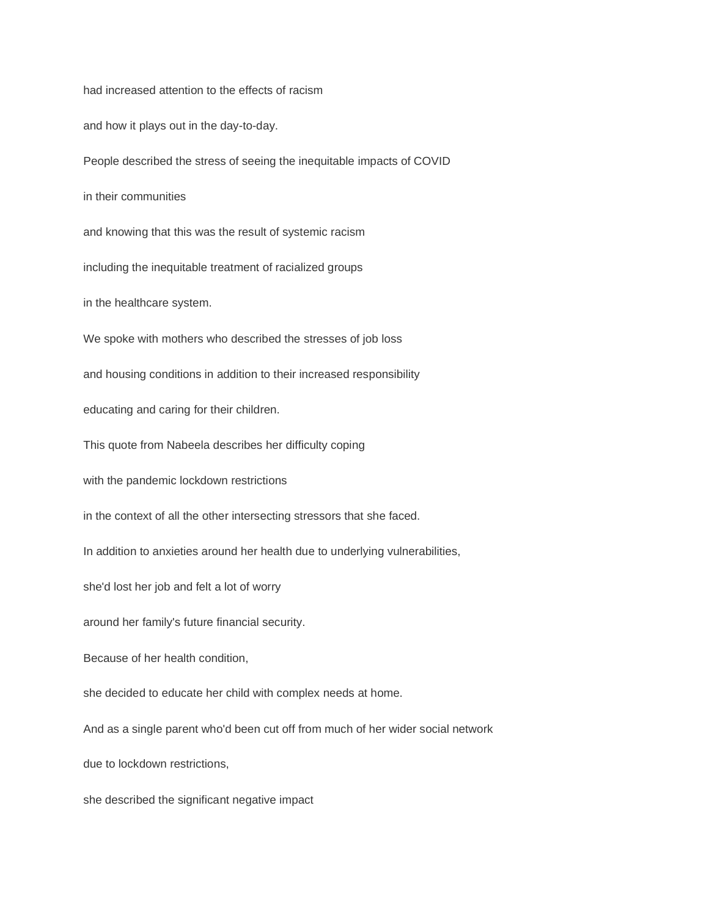had increased attention to the effects of racism and how it plays out in the day-to-day. People described the stress of seeing the inequitable impacts of COVID in their communities and knowing that this was the result of systemic racism including the inequitable treatment of racialized groups in the healthcare system. We spoke with mothers who described the stresses of job loss and housing conditions in addition to their increased responsibility educating and caring for their children. This quote from Nabeela describes her difficulty coping with the pandemic lockdown restrictions in the context of all the other intersecting stressors that she faced. In addition to anxieties around her health due to underlying vulnerabilities, she'd lost her job and felt a lot of worry around her family's future financial security. Because of her health condition, she decided to educate her child with complex needs at home. And as a single parent who'd been cut off from much of her wider social network due to lockdown restrictions, she described the significant negative impact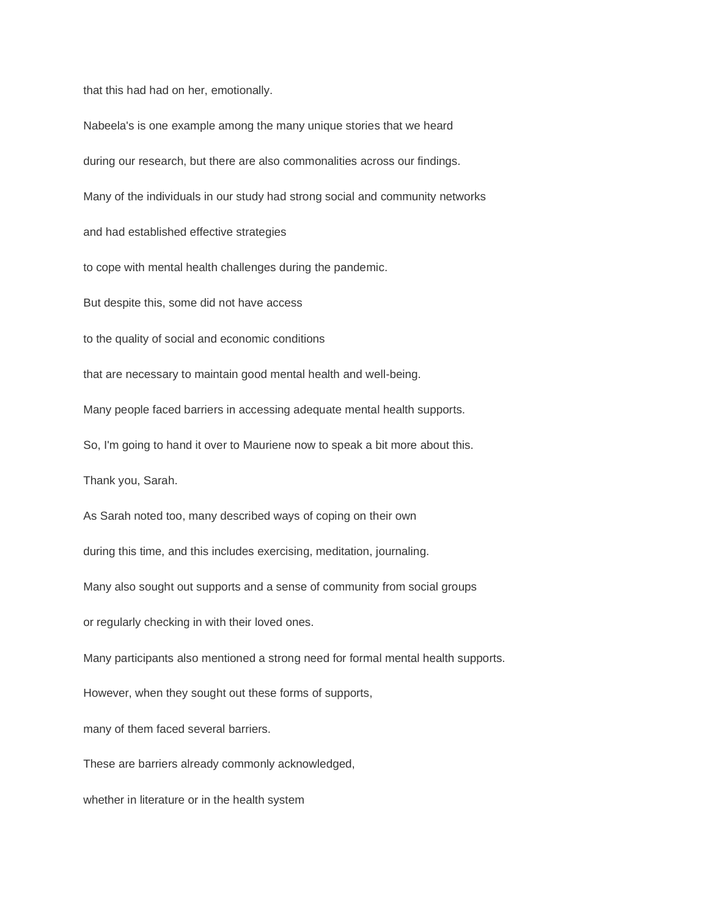that this had had on her, emotionally.

Nabeela's is one example among the many unique stories that we heard during our research, but there are also commonalities across our findings. Many of the individuals in our study had strong social and community networks and had established effective strategies to cope with mental health challenges during the pandemic. But despite this, some did not have access to the quality of social and economic conditions that are necessary to maintain good mental health and well-being. Many people faced barriers in accessing adequate mental health supports. So, I'm going to hand it over to Mauriene now to speak a bit more about this. Thank you, Sarah. As Sarah noted too, many described ways of coping on their own during this time, and this includes exercising, meditation, journaling. Many also sought out supports and a sense of community from social groups or regularly checking in with their loved ones. Many participants also mentioned a strong need for formal mental health supports. However, when they sought out these forms of supports, many of them faced several barriers. These are barriers already commonly acknowledged, whether in literature or in the health system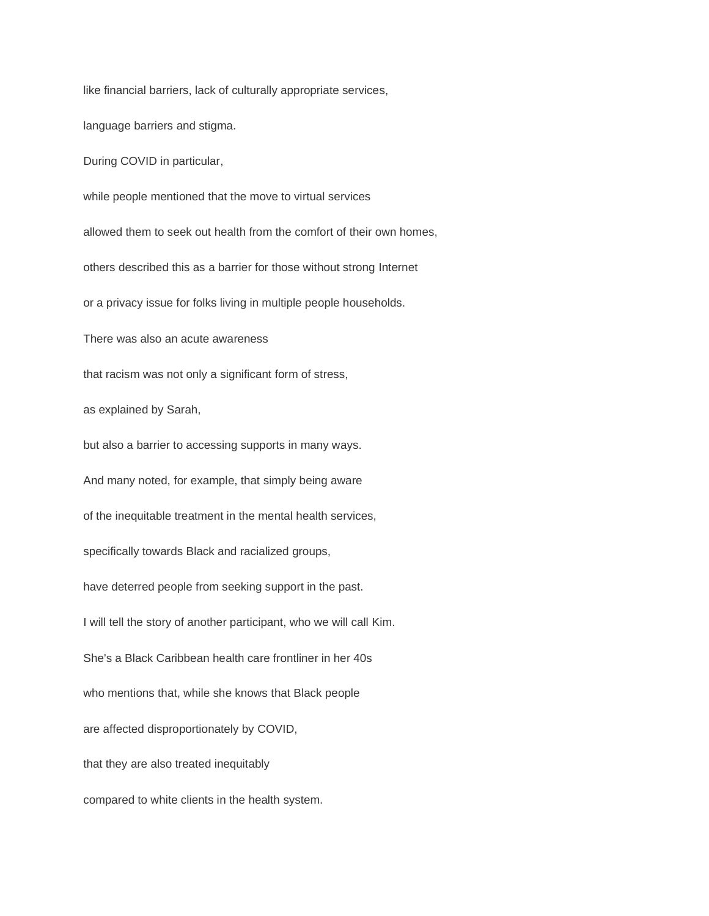like financial barriers, lack of culturally appropriate services,

language barriers and stigma.

During COVID in particular,

while people mentioned that the move to virtual services allowed them to seek out health from the comfort of their own homes, others described this as a barrier for those without strong Internet or a privacy issue for folks living in multiple people households. There was also an acute awareness that racism was not only a significant form of stress, as explained by Sarah, but also a barrier to accessing supports in many ways. And many noted, for example, that simply being aware of the inequitable treatment in the mental health services, specifically towards Black and racialized groups, have deterred people from seeking support in the past. I will tell the story of another participant, who we will call Kim. She's a Black Caribbean health care frontliner in her 40s who mentions that, while she knows that Black people are affected disproportionately by COVID, that they are also treated inequitably compared to white clients in the health system.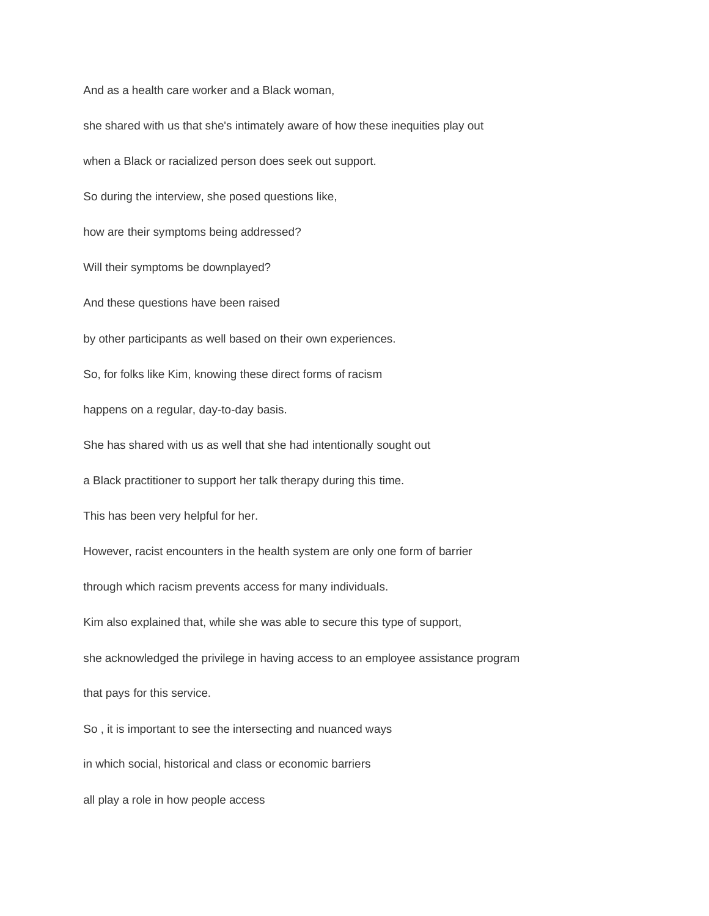And as a health care worker and a Black woman,

she shared with us that she's intimately aware of how these inequities play out when a Black or racialized person does seek out support. So during the interview, she posed questions like, how are their symptoms being addressed? Will their symptoms be downplayed? And these questions have been raised by other participants as well based on their own experiences. So, for folks like Kim, knowing these direct forms of racism happens on a regular, day-to-day basis. She has shared with us as well that she had intentionally sought out a Black practitioner to support her talk therapy during this time. This has been very helpful for her. However, racist encounters in the health system are only one form of barrier through which racism prevents access for many individuals. Kim also explained that, while she was able to secure this type of support, she acknowledged the privilege in having access to an employee assistance program that pays for this service. So , it is important to see the intersecting and nuanced ways

in which social, historical and class or economic barriers

all play a role in how people access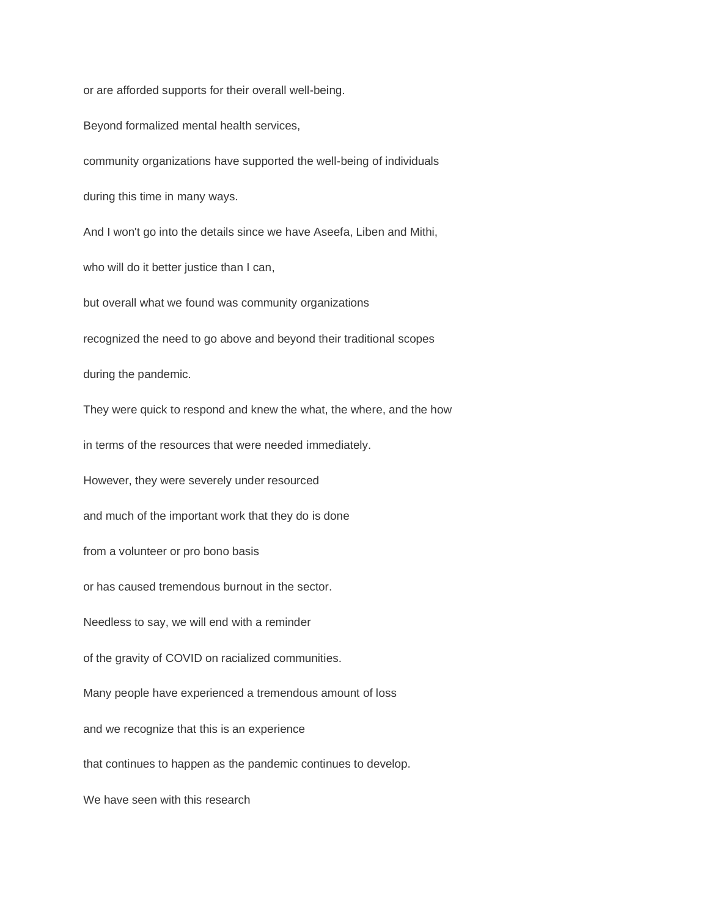or are afforded supports for their overall well-being.

Beyond formalized mental health services,

community organizations have supported the well-being of individuals during this time in many ways.

And I won't go into the details since we have Aseefa, Liben and Mithi,

who will do it better justice than I can,

but overall what we found was community organizations

recognized the need to go above and beyond their traditional scopes

during the pandemic.

They were quick to respond and knew the what, the where, and the how

in terms of the resources that were needed immediately.

However, they were severely under resourced

and much of the important work that they do is done

from a volunteer or pro bono basis

or has caused tremendous burnout in the sector.

Needless to say, we will end with a reminder

of the gravity of COVID on racialized communities.

Many people have experienced a tremendous amount of loss

and we recognize that this is an experience

that continues to happen as the pandemic continues to develop.

We have seen with this research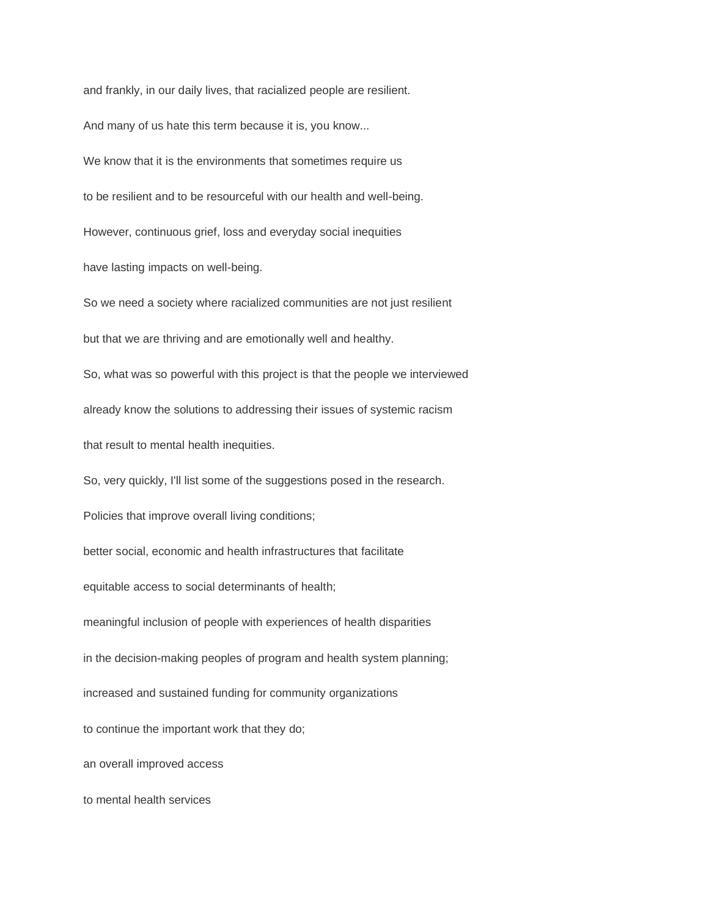and frankly, in our daily lives, that racialized people are resilient.

And many of us hate this term because it is, you know...

We know that it is the environments that sometimes require us to be resilient and to be resourceful with our health and well-being. However, continuous grief, loss and everyday social inequities have lasting impacts on well-being.

So we need a society where racialized communities are not just resilient but that we are thriving and are emotionally well and healthy.

So, what was so powerful with this project is that the people we interviewed already know the solutions to addressing their issues of systemic racism that result to mental health inequities.

So, very quickly, I'll list some of the suggestions posed in the research.

Policies that improve overall living conditions;

better social, economic and health infrastructures that facilitate

equitable access to social determinants of health;

meaningful inclusion of people with experiences of health disparities

in the decision-making peoples of program and health system planning;

increased and sustained funding for community organizations

to continue the important work that they do;

an overall improved access

to mental health services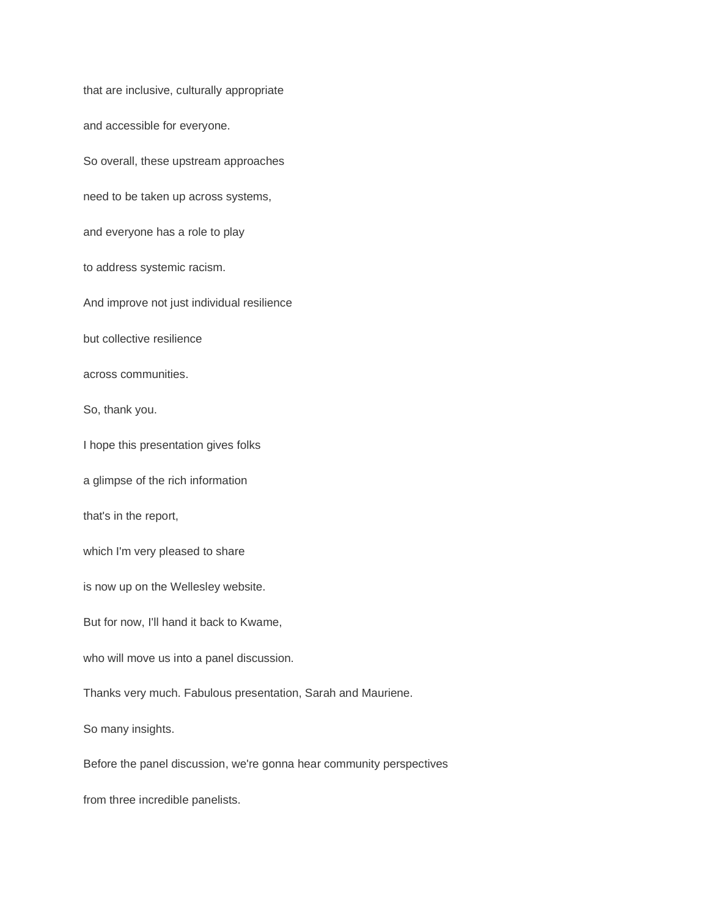that are inclusive, culturally appropriate and accessible for everyone. So overall, these upstream approaches need to be taken up across systems, and everyone has a role to play to address systemic racism. And improve not just individual resilience but collective resilience across communities. So, thank you. I hope this presentation gives folks a glimpse of the rich information that's in the report, which I'm very pleased to share is now up on the Wellesley website. But for now, I'll hand it back to Kwame, who will move us into a panel discussion. Thanks very much. Fabulous presentation, Sarah and Mauriene. So many insights. Before the panel discussion, we're gonna hear community perspectives from three incredible panelists.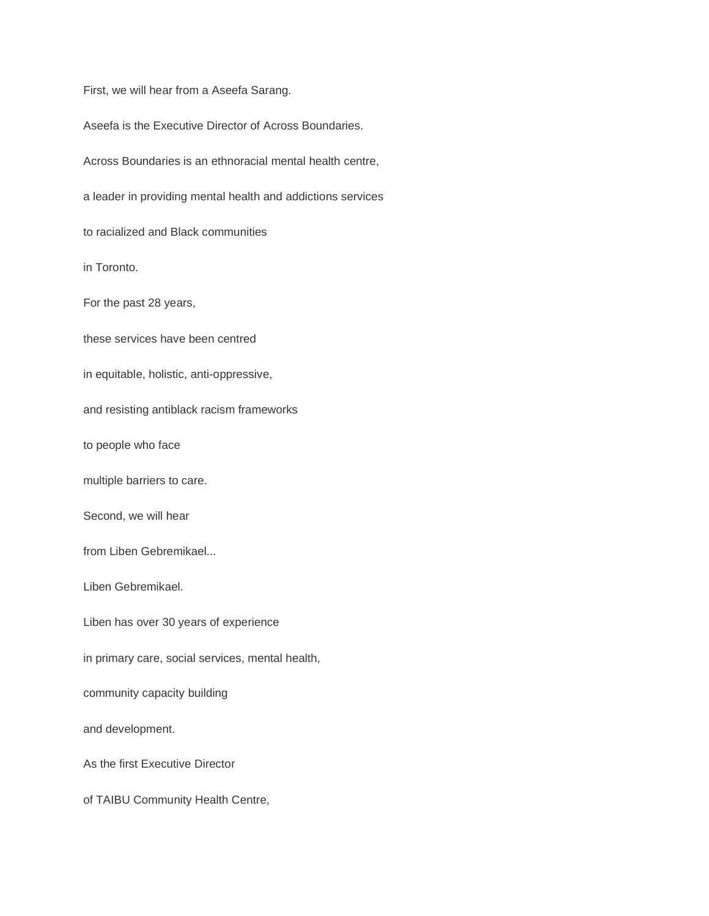First, we will hear from a Aseefa Sarang.

Aseefa is the Executive Director of Across Boundaries.

Across Boundaries is an ethnoracial mental health centre,

a leader in providing mental health and addictions services

to racialized and Black communities

in Toronto.

For the past 28 years,

these services have been centred

in equitable, holistic, anti-oppressive,

and resisting antiblack racism frameworks

to people who face

multiple barriers to care.

Second, we will hear

from Liben Gebremikael...

Liben Gebremikael.

Liben has over 30 years of experience

in primary care, social services, mental health,

community capacity building

and development.

As the first Executive Director

of TAIBU Community Health Centre,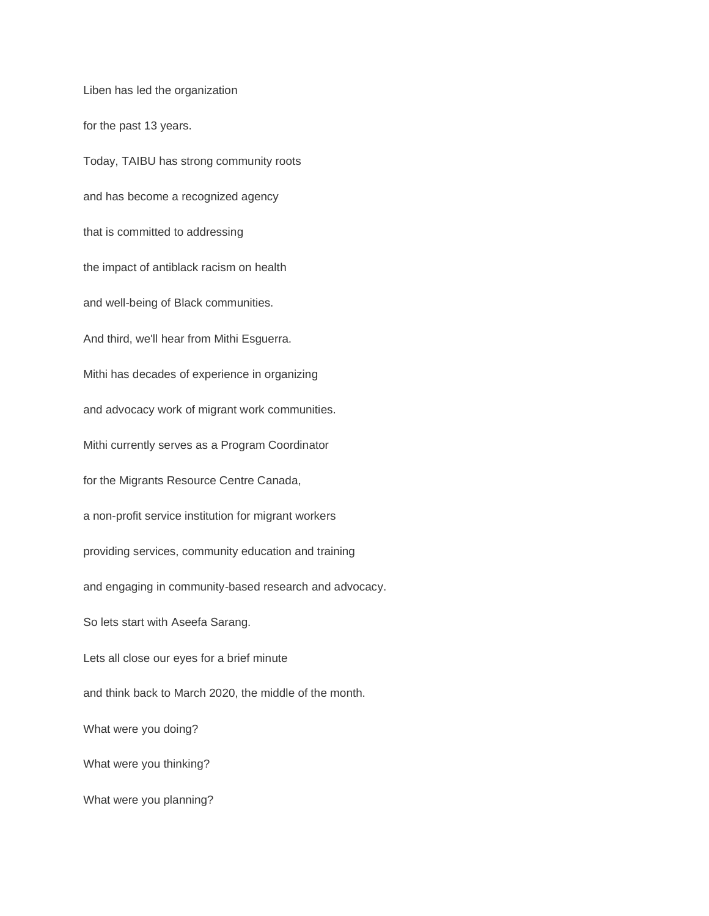Liben has led the organization for the past 13 years. Today, TAIBU has strong community roots and has become a recognized agency that is committed to addressing the impact of antiblack racism on health and well-being of Black communities. And third, we'll hear from Mithi Esguerra. Mithi has decades of experience in organizing and advocacy work of migrant work communities. Mithi currently serves as a Program Coordinator for the Migrants Resource Centre Canada, a non-profit service institution for migrant workers providing services, community education and training and engaging in community-based research and advocacy. So lets start with Aseefa Sarang. Lets all close our eyes for a brief minute and think back to March 2020, the middle of the month. What were you doing? What were you thinking? What were you planning?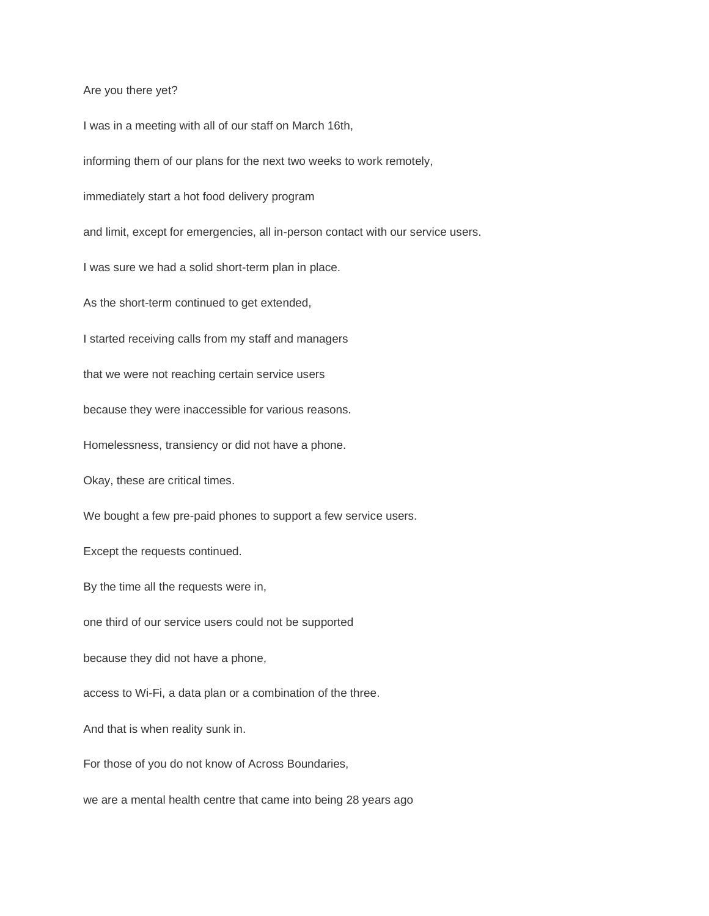Are you there yet?

I was in a meeting with all of our staff on March 16th, informing them of our plans for the next two weeks to work remotely, immediately start a hot food delivery program and limit, except for emergencies, all in-person contact with our service users. I was sure we had a solid short-term plan in place. As the short-term continued to get extended, I started receiving calls from my staff and managers that we were not reaching certain service users because they were inaccessible for various reasons. Homelessness, transiency or did not have a phone. Okay, these are critical times. We bought a few pre-paid phones to support a few service users. Except the requests continued. By the time all the requests were in, one third of our service users could not be supported because they did not have a phone, access to Wi-Fi, a data plan or a combination of the three. And that is when reality sunk in. For those of you do not know of Across Boundaries, we are a mental health centre that came into being 28 years ago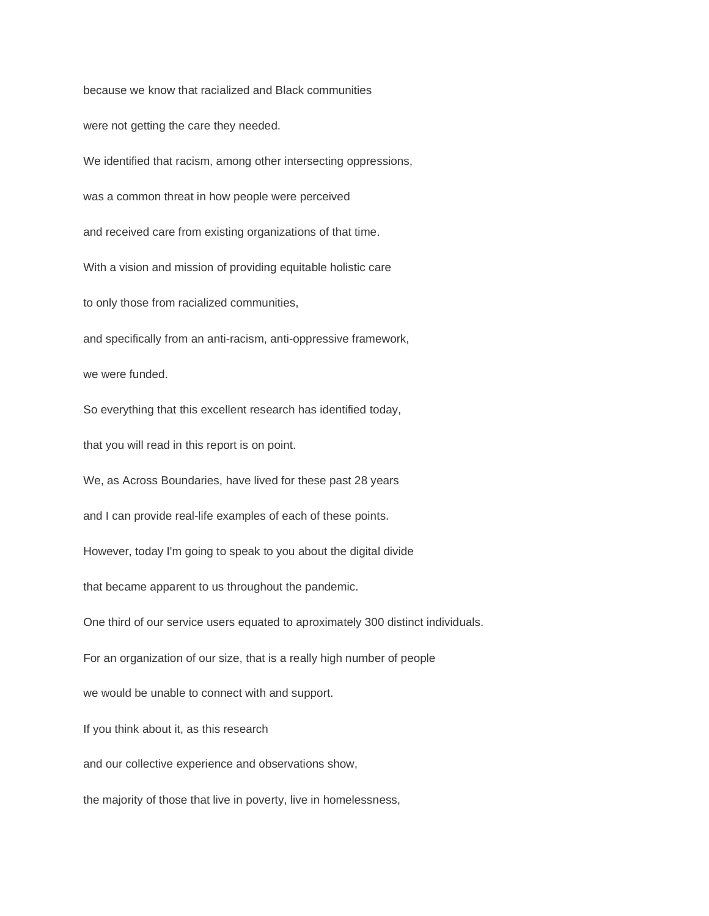because we know that racialized and Black communities were not getting the care they needed. We identified that racism, among other intersecting oppressions, was a common threat in how people were perceived and received care from existing organizations of that time. With a vision and mission of providing equitable holistic care to only those from racialized communities, and specifically from an anti-racism, anti-oppressive framework, we were funded. So everything that this excellent research has identified today, that you will read in this report is on point. We, as Across Boundaries, have lived for these past 28 years and I can provide real-life examples of each of these points. However, today I'm going to speak to you about the digital divide that became apparent to us throughout the pandemic. One third of our service users equated to aproximately 300 distinct individuals. For an organization of our size, that is a really high number of people we would be unable to connect with and support. If you think about it, as this research and our collective experience and observations show, the majority of those that live in poverty, live in homelessness,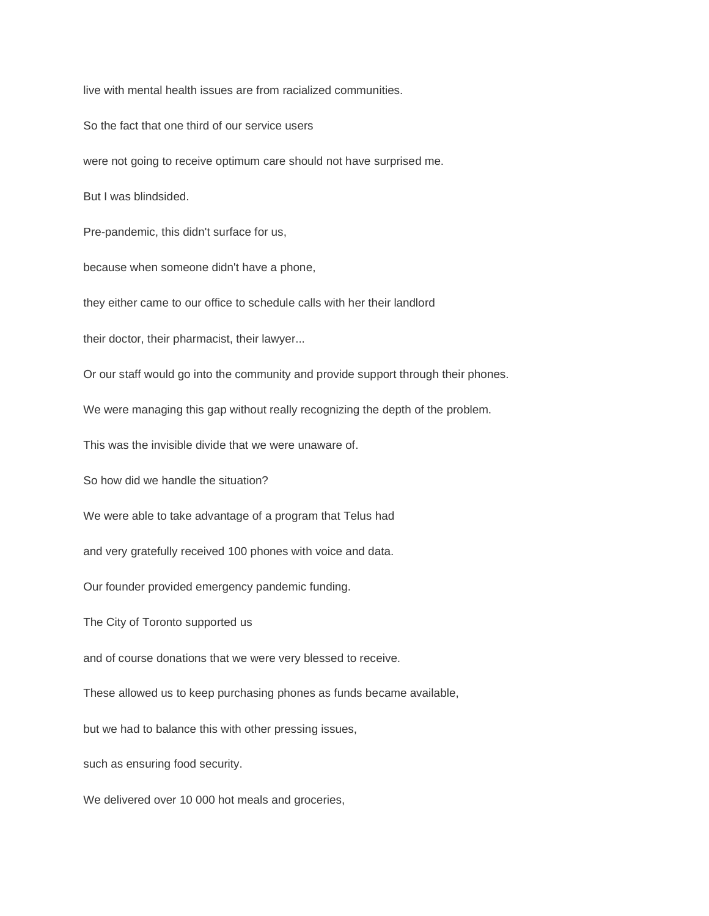live with mental health issues are from racialized communities.

So the fact that one third of our service users

were not going to receive optimum care should not have surprised me.

But I was blindsided.

Pre-pandemic, this didn't surface for us,

because when someone didn't have a phone,

they either came to our office to schedule calls with her their landlord

their doctor, their pharmacist, their lawyer...

Or our staff would go into the community and provide support through their phones.

We were managing this gap without really recognizing the depth of the problem.

This was the invisible divide that we were unaware of.

So how did we handle the situation?

We were able to take advantage of a program that Telus had

and very gratefully received 100 phones with voice and data.

Our founder provided emergency pandemic funding.

The City of Toronto supported us

and of course donations that we were very blessed to receive.

These allowed us to keep purchasing phones as funds became available,

but we had to balance this with other pressing issues,

such as ensuring food security.

We delivered over 10 000 hot meals and groceries,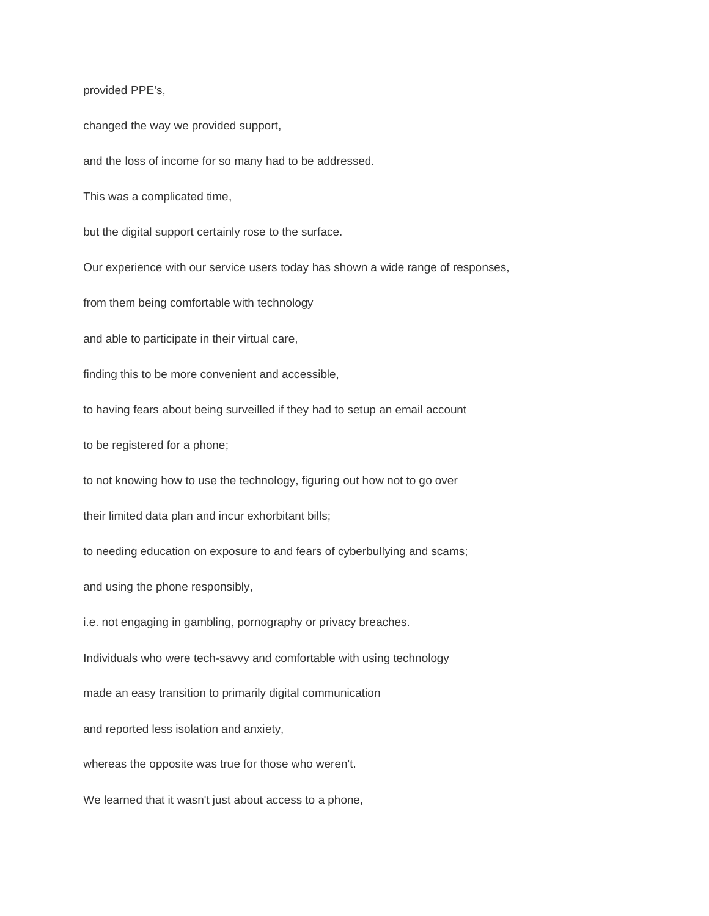provided PPE's,

changed the way we provided support,

and the loss of income for so many had to be addressed.

This was a complicated time,

but the digital support certainly rose to the surface.

Our experience with our service users today has shown a wide range of responses,

from them being comfortable with technology

and able to participate in their virtual care,

finding this to be more convenient and accessible,

to having fears about being surveilled if they had to setup an email account

to be registered for a phone;

to not knowing how to use the technology, figuring out how not to go over

their limited data plan and incur exhorbitant bills;

to needing education on exposure to and fears of cyberbullying and scams;

and using the phone responsibly,

i.e. not engaging in gambling, pornography or privacy breaches.

Individuals who were tech-savvy and comfortable with using technology

made an easy transition to primarily digital communication

and reported less isolation and anxiety,

whereas the opposite was true for those who weren't.

We learned that it wasn't just about access to a phone,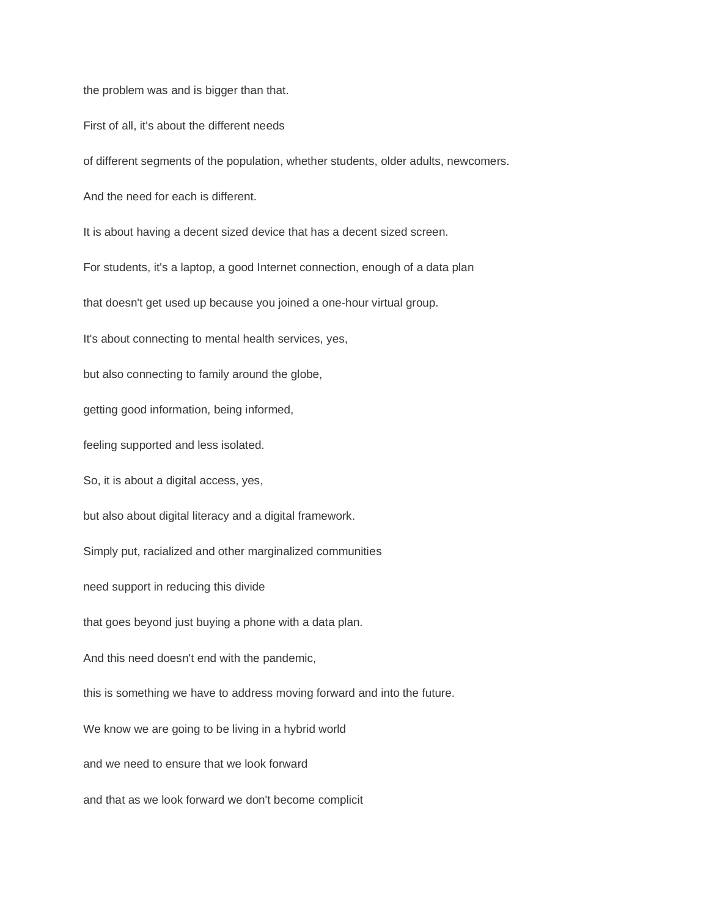the problem was and is bigger than that.

First of all, it's about the different needs

of different segments of the population, whether students, older adults, newcomers.

And the need for each is different.

It is about having a decent sized device that has a decent sized screen.

For students, it's a laptop, a good Internet connection, enough of a data plan

that doesn't get used up because you joined a one-hour virtual group.

It's about connecting to mental health services, yes,

but also connecting to family around the globe,

getting good information, being informed,

feeling supported and less isolated.

So, it is about a digital access, yes,

but also about digital literacy and a digital framework.

Simply put, racialized and other marginalized communities

need support in reducing this divide

that goes beyond just buying a phone with a data plan.

And this need doesn't end with the pandemic,

this is something we have to address moving forward and into the future.

We know we are going to be living in a hybrid world

and we need to ensure that we look forward

and that as we look forward we don't become complicit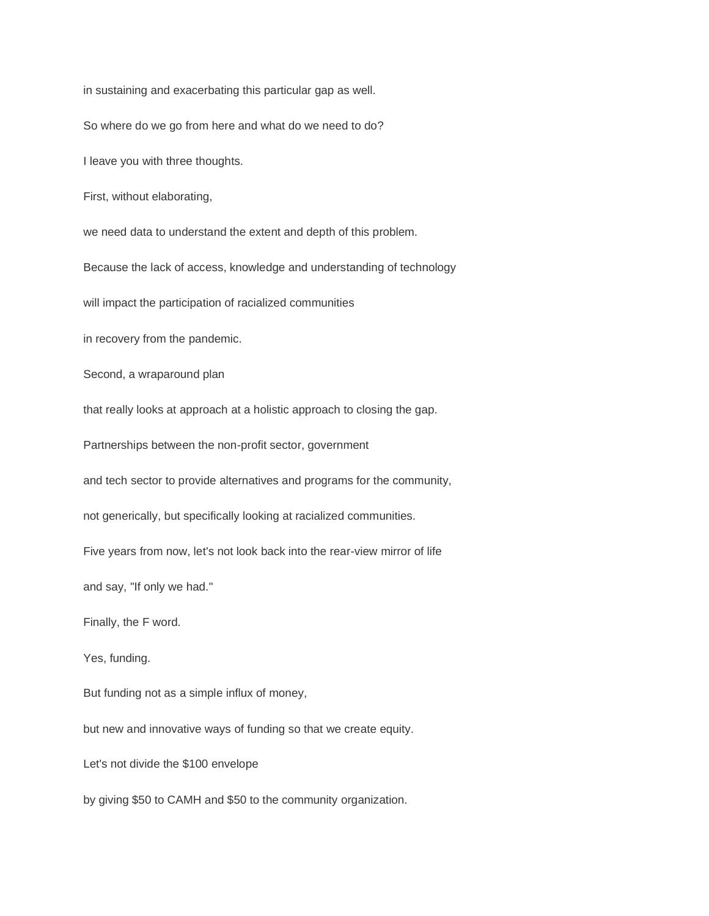in sustaining and exacerbating this particular gap as well.

So where do we go from here and what do we need to do?

I leave you with three thoughts.

First, without elaborating,

we need data to understand the extent and depth of this problem.

Because the lack of access, knowledge and understanding of technology

will impact the participation of racialized communities

in recovery from the pandemic.

Second, a wraparound plan

that really looks at approach at a holistic approach to closing the gap.

Partnerships between the non-profit sector, government

and tech sector to provide alternatives and programs for the community,

not generically, but specifically looking at racialized communities.

Five years from now, let's not look back into the rear-view mirror of life

and say, "If only we had."

Finally, the F word.

Yes, funding.

But funding not as a simple influx of money,

but new and innovative ways of funding so that we create equity.

Let's not divide the \$100 envelope

by giving \$50 to CAMH and \$50 to the community organization.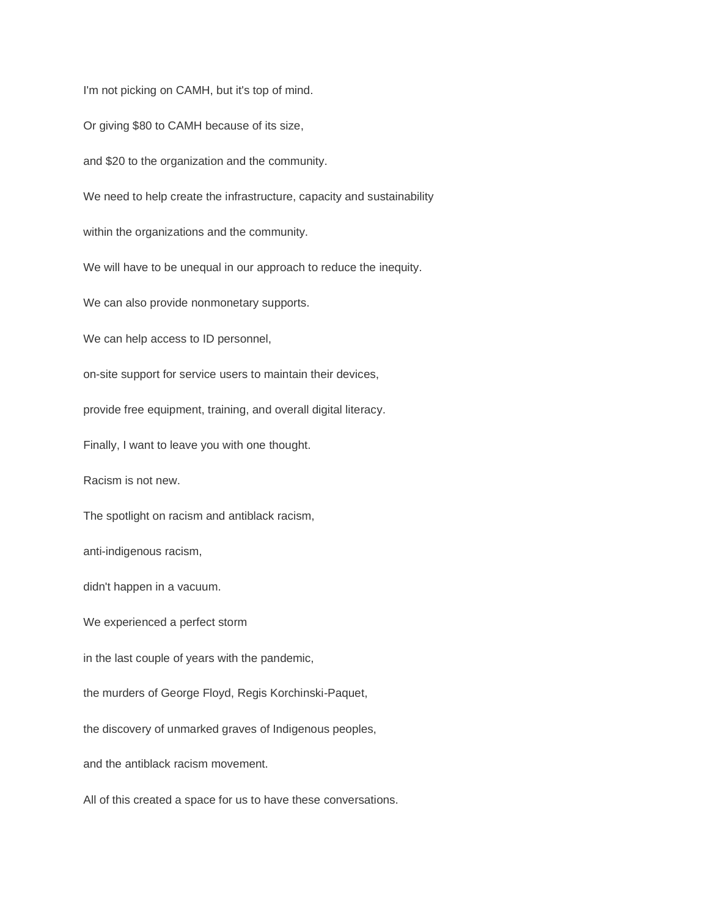I'm not picking on CAMH, but it's top of mind.

Or giving \$80 to CAMH because of its size,

and \$20 to the organization and the community.

We need to help create the infrastructure, capacity and sustainability

within the organizations and the community.

We will have to be unequal in our approach to reduce the inequity.

We can also provide nonmonetary supports.

We can help access to ID personnel,

on-site support for service users to maintain their devices,

provide free equipment, training, and overall digital literacy.

Finally, I want to leave you with one thought.

Racism is not new.

The spotlight on racism and antiblack racism,

anti-indigenous racism,

didn't happen in a vacuum.

We experienced a perfect storm

in the last couple of years with the pandemic,

the murders of George Floyd, Regis Korchinski-Paquet,

the discovery of unmarked graves of Indigenous peoples,

and the antiblack racism movement.

All of this created a space for us to have these conversations.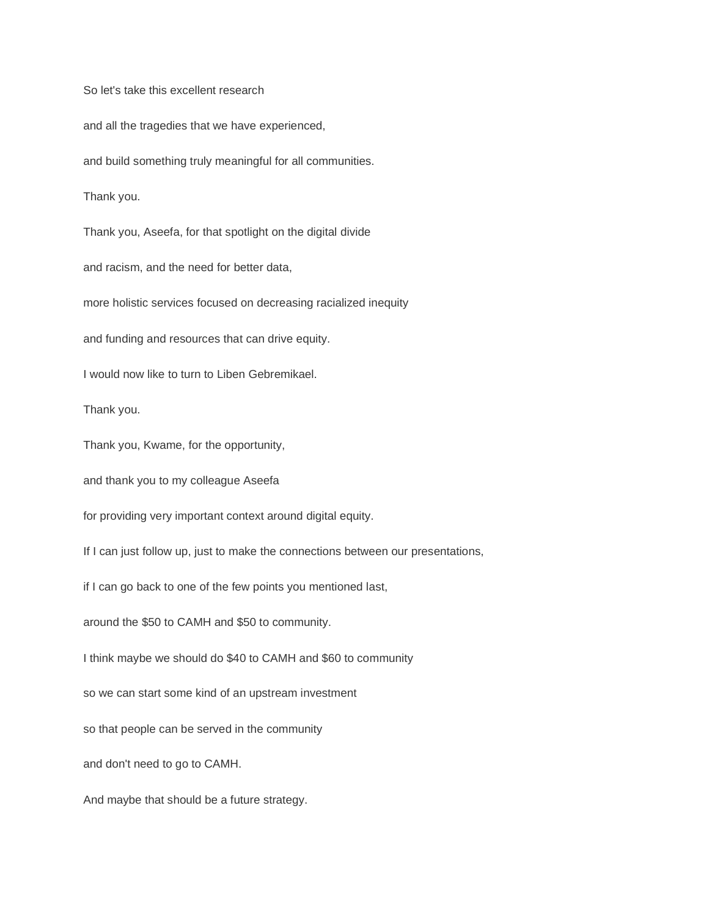So let's take this excellent research and all the tragedies that we have experienced, and build something truly meaningful for all communities. Thank you. Thank you, Aseefa, for that spotlight on the digital divide and racism, and the need for better data, more holistic services focused on decreasing racialized inequity and funding and resources that can drive equity. I would now like to turn to Liben Gebremikael. Thank you. Thank you, Kwame, for the opportunity, and thank you to my colleague Aseefa for providing very important context around digital equity. If I can just follow up, just to make the connections between our presentations, if I can go back to one of the few points you mentioned last, around the \$50 to CAMH and \$50 to community. I think maybe we should do \$40 to CAMH and \$60 to community so we can start some kind of an upstream investment so that people can be served in the community and don't need to go to CAMH. And maybe that should be a future strategy.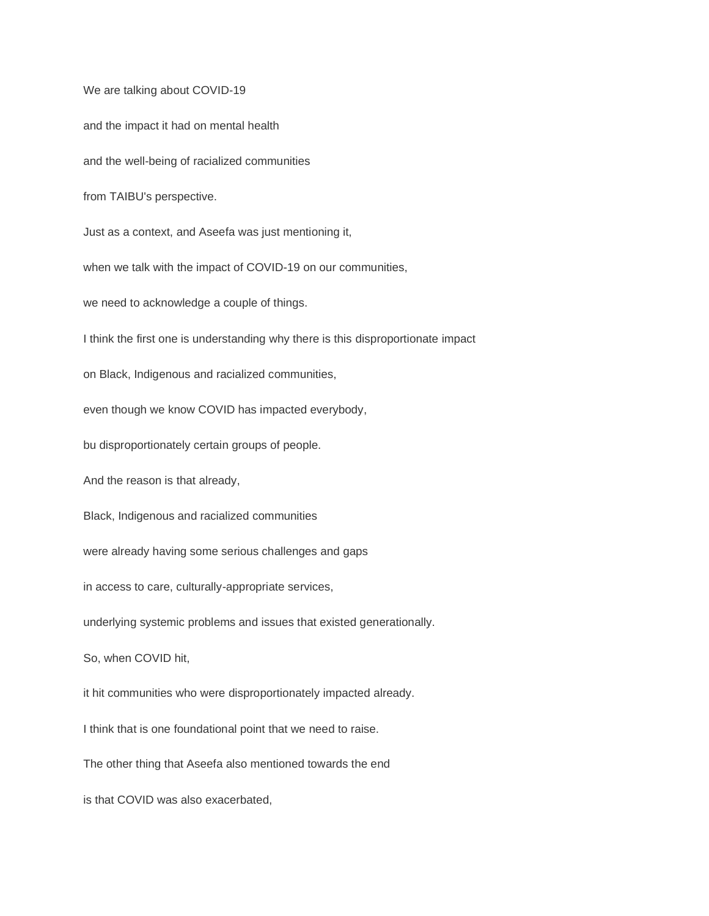We are talking about COVID-19 and the impact it had on mental health and the well-being of racialized communities from TAIBU's perspective. Just as a context, and Aseefa was just mentioning it, when we talk with the impact of COVID-19 on our communities, we need to acknowledge a couple of things. I think the first one is understanding why there is this disproportionate impact on Black, Indigenous and racialized communities, even though we know COVID has impacted everybody, bu disproportionately certain groups of people. And the reason is that already, Black, Indigenous and racialized communities were already having some serious challenges and gaps in access to care, culturally-appropriate services, underlying systemic problems and issues that existed generationally. So, when COVID hit, it hit communities who were disproportionately impacted already. I think that is one foundational point that we need to raise. The other thing that Aseefa also mentioned towards the end is that COVID was also exacerbated,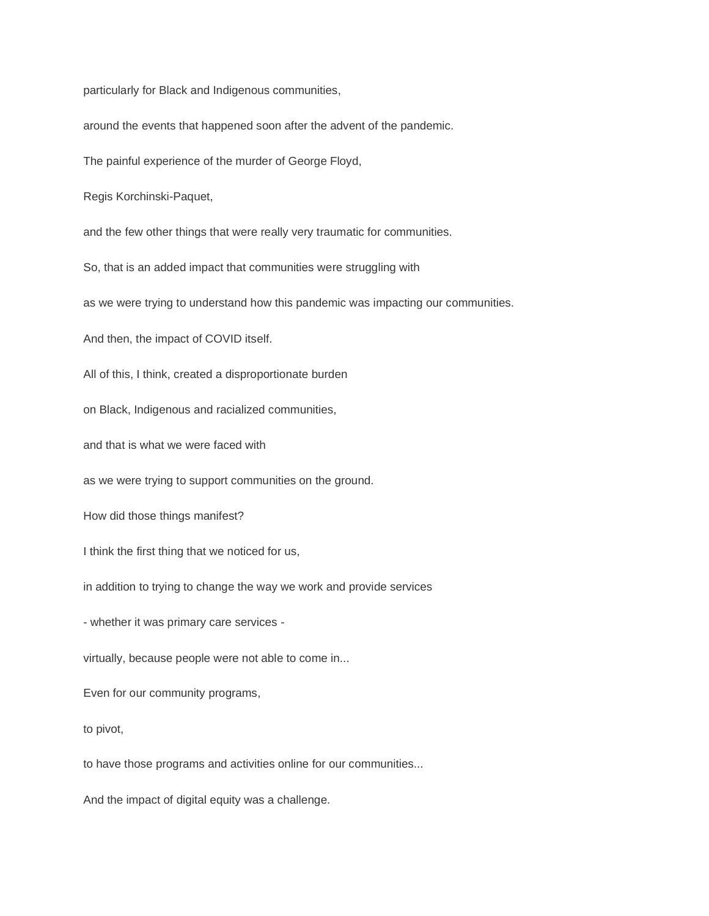particularly for Black and Indigenous communities,

around the events that happened soon after the advent of the pandemic.

The painful experience of the murder of George Floyd,

Regis Korchinski-Paquet,

and the few other things that were really very traumatic for communities.

So, that is an added impact that communities were struggling with

as we were trying to understand how this pandemic was impacting our communities.

And then, the impact of COVID itself.

All of this, I think, created a disproportionate burden

on Black, Indigenous and racialized communities,

and that is what we were faced with

as we were trying to support communities on the ground.

How did those things manifest?

I think the first thing that we noticed for us,

in addition to trying to change the way we work and provide services

- whether it was primary care services -

virtually, because people were not able to come in...

Even for our community programs,

to pivot,

to have those programs and activities online for our communities...

And the impact of digital equity was a challenge.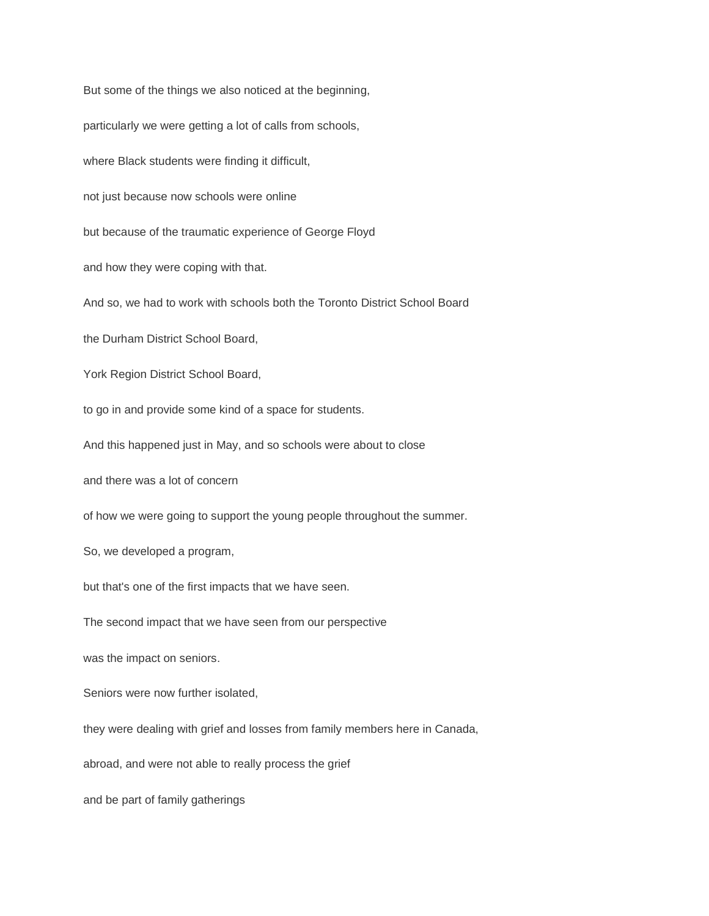But some of the things we also noticed at the beginning, particularly we were getting a lot of calls from schools, where Black students were finding it difficult, not just because now schools were online but because of the traumatic experience of George Floyd and how they were coping with that. And so, we had to work with schools both the Toronto District School Board the Durham District School Board, York Region District School Board, to go in and provide some kind of a space for students. And this happened just in May, and so schools were about to close and there was a lot of concern of how we were going to support the young people throughout the summer. So, we developed a program, but that's one of the first impacts that we have seen. The second impact that we have seen from our perspective was the impact on seniors. Seniors were now further isolated, they were dealing with grief and losses from family members here in Canada, abroad, and were not able to really process the grief and be part of family gatherings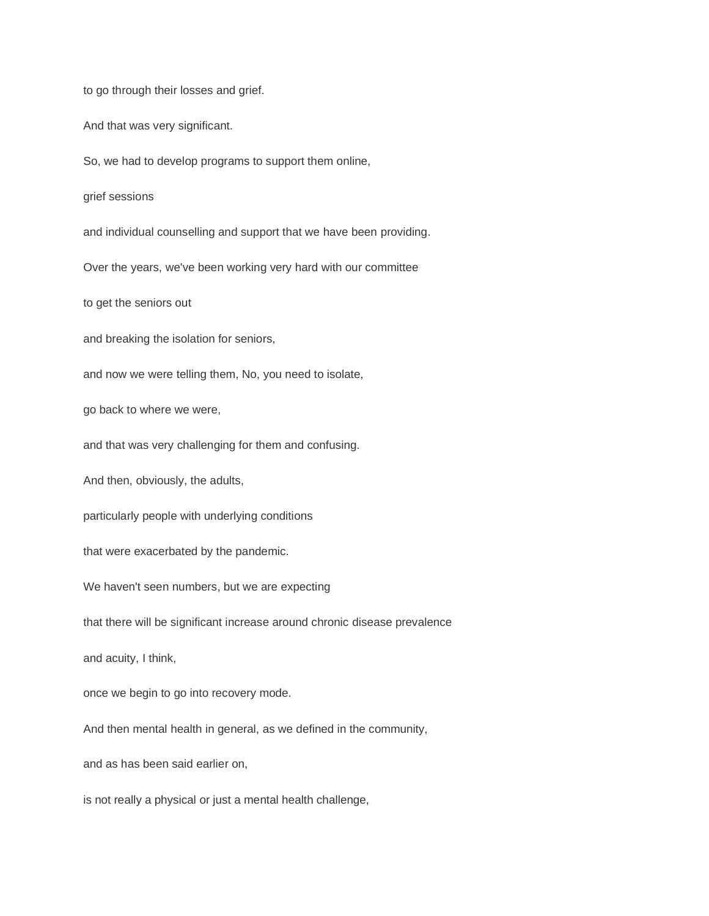to go through their losses and grief.

And that was very significant.

So, we had to develop programs to support them online,

grief sessions

and individual counselling and support that we have been providing.

Over the years, we've been working very hard with our committee

to get the seniors out

and breaking the isolation for seniors,

and now we were telling them, No, you need to isolate,

go back to where we were,

and that was very challenging for them and confusing.

And then, obviously, the adults,

particularly people with underlying conditions

that were exacerbated by the pandemic.

We haven't seen numbers, but we are expecting

that there will be significant increase around chronic disease prevalence

and acuity, I think,

once we begin to go into recovery mode.

And then mental health in general, as we defined in the community,

and as has been said earlier on,

is not really a physical or just a mental health challenge,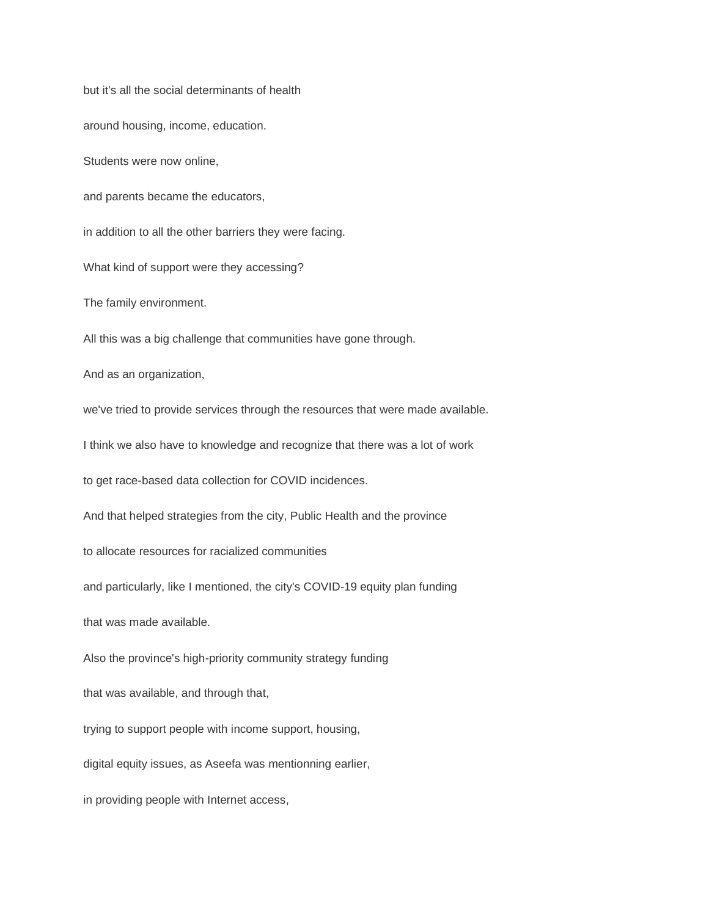but it's all the social determinants of health around housing, income, education. Students were now online, and parents became the educators, in addition to all the other barriers they were facing. What kind of support were they accessing? The family environment. All this was a big challenge that communities have gone through. And as an organization, we've tried to provide services through the resources that were made available. I think we also have to knowledge and recognize that there was a lot of work to get race-based data collection for COVID incidences. And that helped strategies from the city, Public Health and the province to allocate resources for racialized communities and particularly, like I mentioned, the city's COVID-19 equity plan funding that was made available. Also the province's high-priority community strategy funding that was available, and through that, trying to support people with income support, housing, digital equity issues, as Aseefa was mentionning earlier, in providing people with Internet access,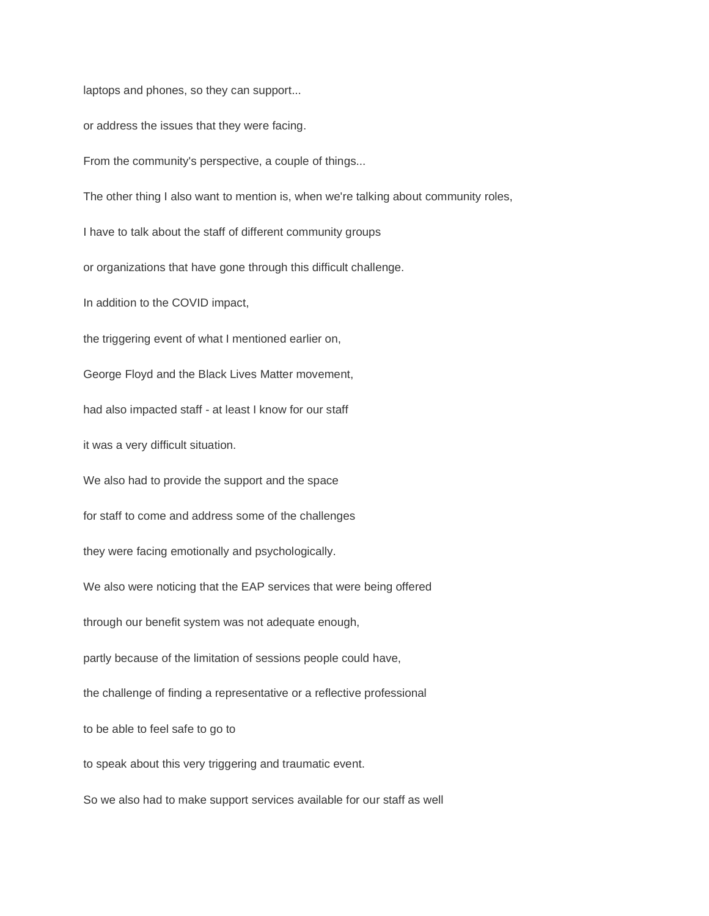laptops and phones, so they can support...

or address the issues that they were facing.

From the community's perspective, a couple of things...

The other thing I also want to mention is, when we're talking about community roles,

I have to talk about the staff of different community groups

or organizations that have gone through this difficult challenge.

In addition to the COVID impact,

the triggering event of what I mentioned earlier on,

George Floyd and the Black Lives Matter movement,

had also impacted staff - at least I know for our staff

it was a very difficult situation.

We also had to provide the support and the space

for staff to come and address some of the challenges

they were facing emotionally and psychologically.

We also were noticing that the EAP services that were being offered

through our benefit system was not adequate enough,

partly because of the limitation of sessions people could have,

the challenge of finding a representative or a reflective professional

to be able to feel safe to go to

to speak about this very triggering and traumatic event.

So we also had to make support services available for our staff as well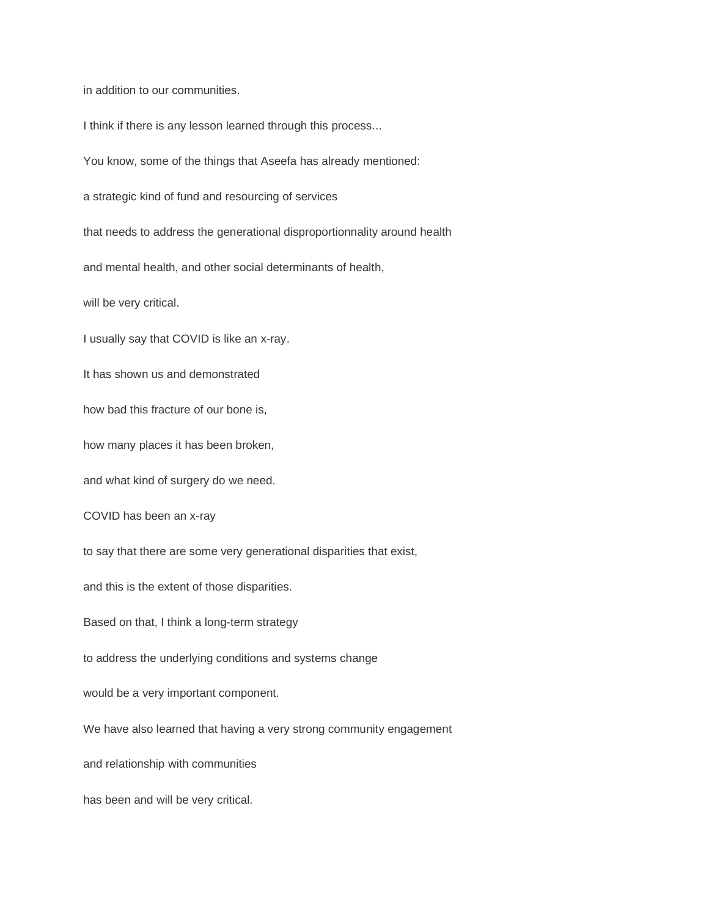in addition to our communities.

I think if there is any lesson learned through this process...

You know, some of the things that Aseefa has already mentioned:

a strategic kind of fund and resourcing of services

that needs to address the generational disproportionnality around health

and mental health, and other social determinants of health,

will be very critical.

I usually say that COVID is like an x-ray.

It has shown us and demonstrated

how bad this fracture of our bone is,

how many places it has been broken,

and what kind of surgery do we need.

COVID has been an x-ray

to say that there are some very generational disparities that exist,

and this is the extent of those disparities.

Based on that, I think a long-term strategy

to address the underlying conditions and systems change

would be a very important component.

We have also learned that having a very strong community engagement

and relationship with communities

has been and will be very critical.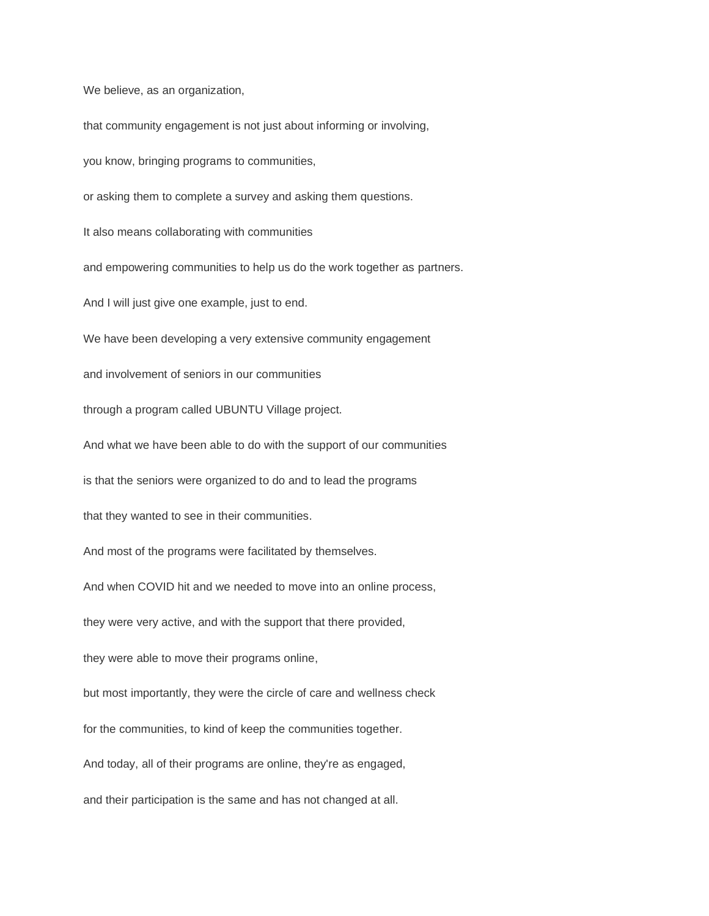We believe, as an organization,

that community engagement is not just about informing or involving, you know, bringing programs to communities, or asking them to complete a survey and asking them questions. It also means collaborating with communities and empowering communities to help us do the work together as partners. And I will just give one example, just to end. We have been developing a very extensive community engagement and involvement of seniors in our communities through a program called UBUNTU Village project. And what we have been able to do with the support of our communities is that the seniors were organized to do and to lead the programs that they wanted to see in their communities. And most of the programs were facilitated by themselves. And when COVID hit and we needed to move into an online process, they were very active, and with the support that there provided, they were able to move their programs online, but most importantly, they were the circle of care and wellness check for the communities, to kind of keep the communities together. And today, all of their programs are online, they're as engaged, and their participation is the same and has not changed at all.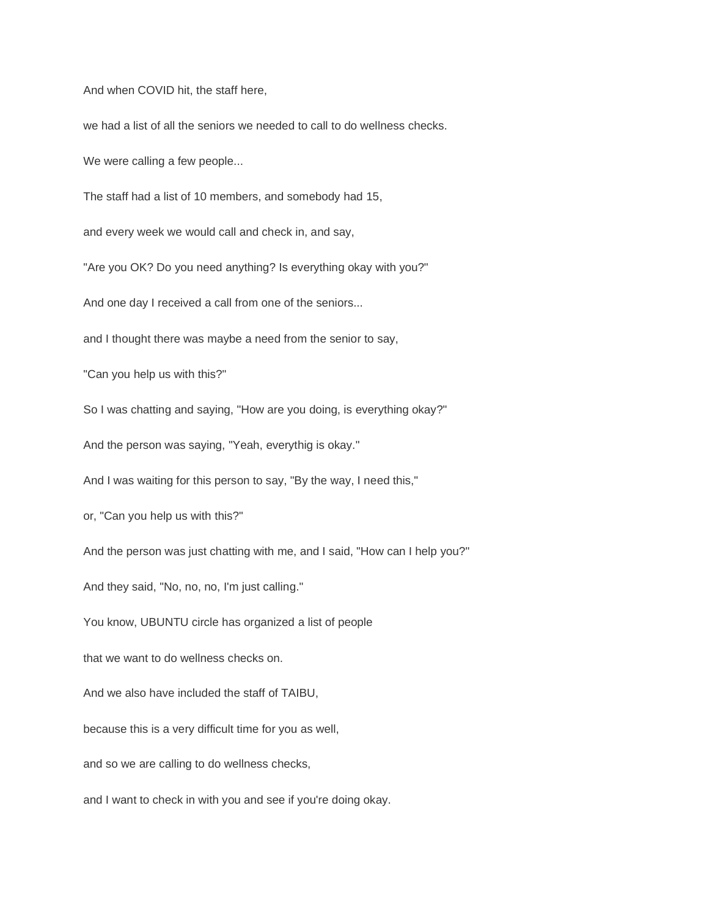And when COVID hit, the staff here,

we had a list of all the seniors we needed to call to do wellness checks.

We were calling a few people...

The staff had a list of 10 members, and somebody had 15,

and every week we would call and check in, and say,

"Are you OK? Do you need anything? Is everything okay with you?"

And one day I received a call from one of the seniors...

and I thought there was maybe a need from the senior to say,

"Can you help us with this?"

So I was chatting and saying, "How are you doing, is everything okay?"

And the person was saying, "Yeah, everythig is okay."

And I was waiting for this person to say, "By the way, I need this,"

or, "Can you help us with this?"

And the person was just chatting with me, and I said, "How can I help you?"

And they said, "No, no, no, I'm just calling."

You know, UBUNTU circle has organized a list of people

that we want to do wellness checks on.

And we also have included the staff of TAIBU,

because this is a very difficult time for you as well,

and so we are calling to do wellness checks,

and I want to check in with you and see if you're doing okay.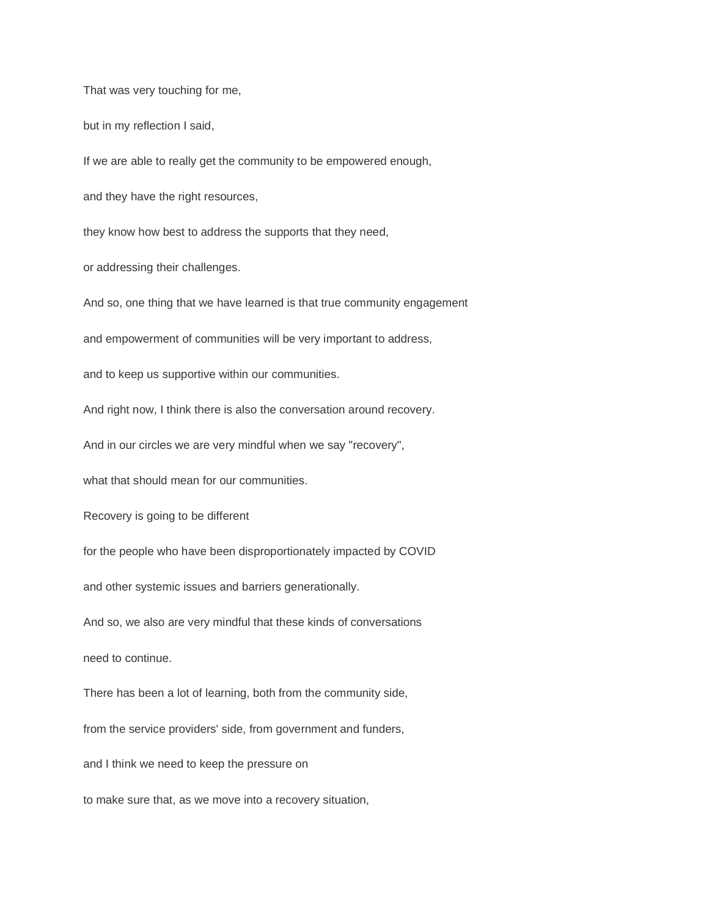That was very touching for me,

but in my reflection I said,

If we are able to really get the community to be empowered enough,

and they have the right resources,

they know how best to address the supports that they need,

or addressing their challenges.

And so, one thing that we have learned is that true community engagement

and empowerment of communities will be very important to address,

and to keep us supportive within our communities.

And right now, I think there is also the conversation around recovery.

And in our circles we are very mindful when we say "recovery",

what that should mean for our communities

Recovery is going to be different

for the people who have been disproportionately impacted by COVID

and other systemic issues and barriers generationally.

And so, we also are very mindful that these kinds of conversations

need to continue.

There has been a lot of learning, both from the community side,

from the service providers' side, from government and funders,

and I think we need to keep the pressure on

to make sure that, as we move into a recovery situation,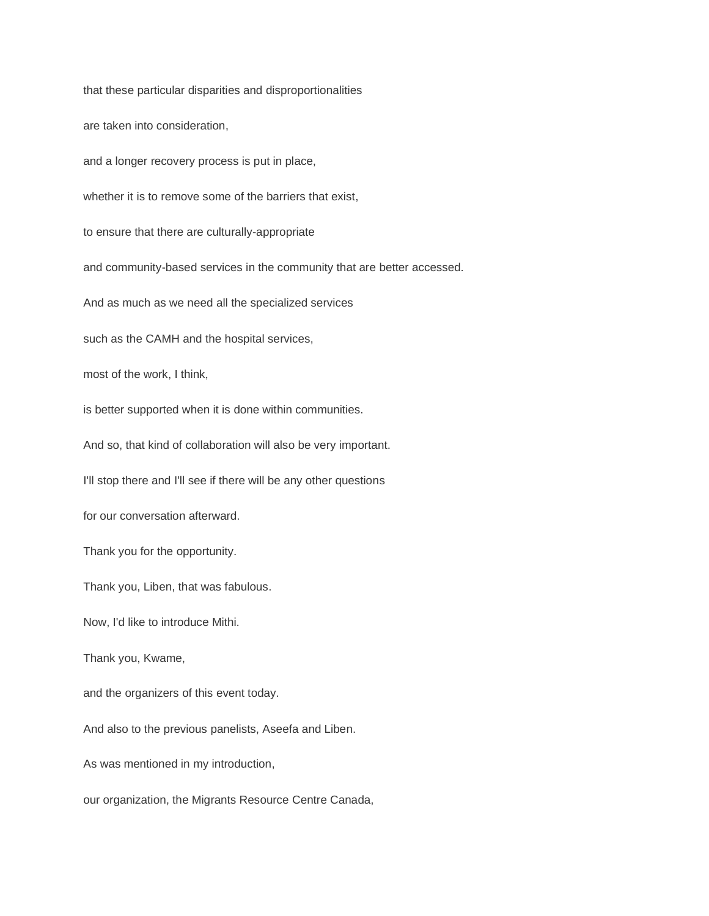that these particular disparities and disproportionalities are taken into consideration, and a longer recovery process is put in place, whether it is to remove some of the barriers that exist, to ensure that there are culturally-appropriate and community-based services in the community that are better accessed. And as much as we need all the specialized services such as the CAMH and the hospital services, most of the work, I think, is better supported when it is done within communities. And so, that kind of collaboration will also be very important. I'll stop there and I'll see if there will be any other questions for our conversation afterward. Thank you for the opportunity. Thank you, Liben, that was fabulous. Now, I'd like to introduce Mithi. Thank you, Kwame, and the organizers of this event today. And also to the previous panelists, Aseefa and Liben. As was mentioned in my introduction, our organization, the Migrants Resource Centre Canada,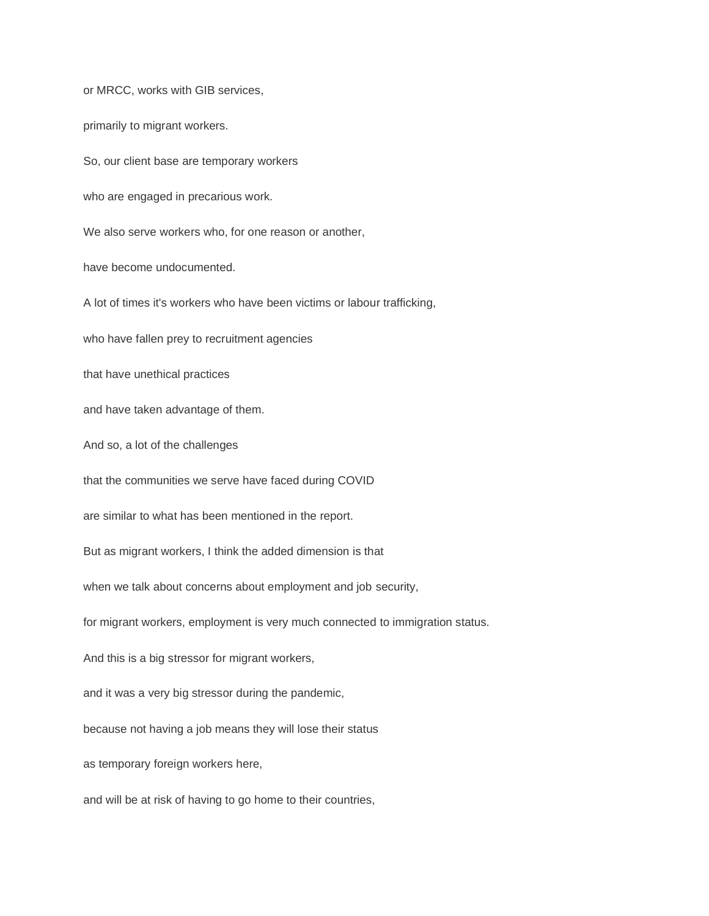or MRCC, works with GIB services, primarily to migrant workers. So, our client base are temporary workers who are engaged in precarious work. We also serve workers who, for one reason or another, have become undocumented. A lot of times it's workers who have been victims or labour trafficking, who have fallen prey to recruitment agencies that have unethical practices and have taken advantage of them. And so, a lot of the challenges that the communities we serve have faced during COVID are similar to what has been mentioned in the report. But as migrant workers, I think the added dimension is that when we talk about concerns about employment and job security, for migrant workers, employment is very much connected to immigration status. And this is a big stressor for migrant workers, and it was a very big stressor during the pandemic, because not having a job means they will lose their status as temporary foreign workers here, and will be at risk of having to go home to their countries,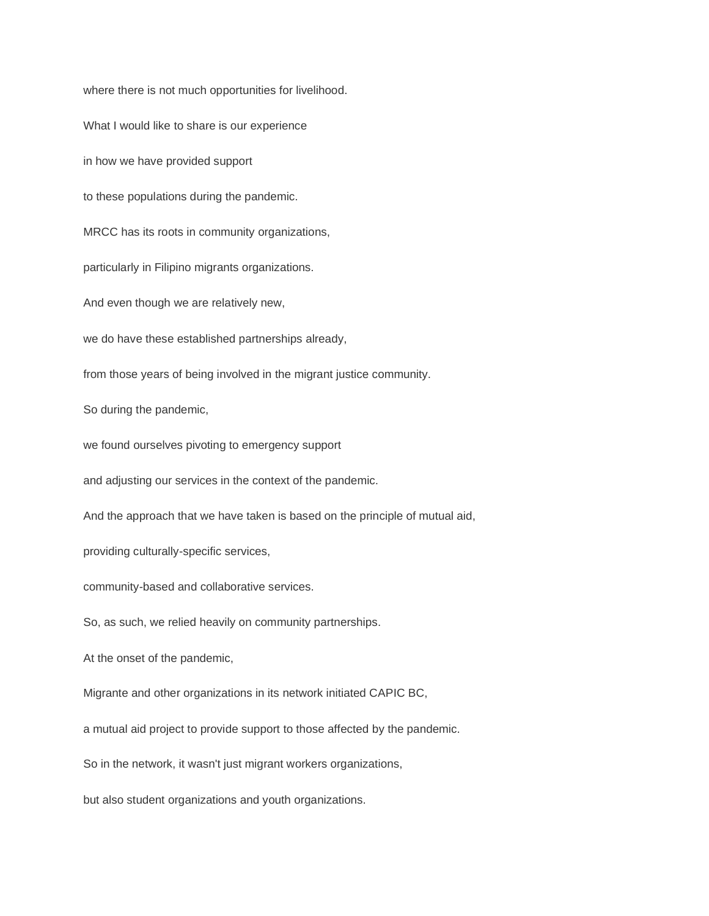where there is not much opportunities for livelihood. What I would like to share is our experience in how we have provided support to these populations during the pandemic. MRCC has its roots in community organizations, particularly in Filipino migrants organizations. And even though we are relatively new, we do have these established partnerships already, from those years of being involved in the migrant justice community. So during the pandemic, we found ourselves pivoting to emergency support and adjusting our services in the context of the pandemic. And the approach that we have taken is based on the principle of mutual aid, providing culturally-specific services, community-based and collaborative services. So, as such, we relied heavily on community partnerships. At the onset of the pandemic, Migrante and other organizations in its network initiated CAPIC BC, a mutual aid project to provide support to those affected by the pandemic. So in the network, it wasn't just migrant workers organizations, but also student organizations and youth organizations.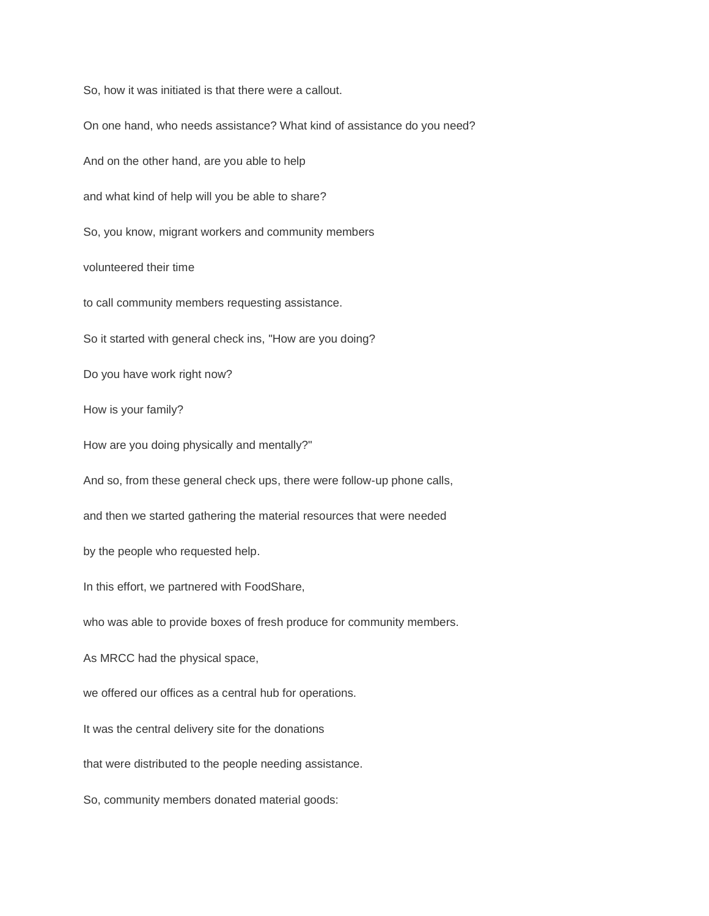So, how it was initiated is that there were a callout. On one hand, who needs assistance? What kind of assistance do you need? And on the other hand, are you able to help and what kind of help will you be able to share? So, you know, migrant workers and community members volunteered their time to call community members requesting assistance. So it started with general check ins, "How are you doing? Do you have work right now? How is your family? How are you doing physically and mentally?" And so, from these general check ups, there were follow-up phone calls, and then we started gathering the material resources that were needed by the people who requested help. In this effort, we partnered with FoodShare, who was able to provide boxes of fresh produce for community members. As MRCC had the physical space, we offered our offices as a central hub for operations. It was the central delivery site for the donations that were distributed to the people needing assistance. So, community members donated material goods: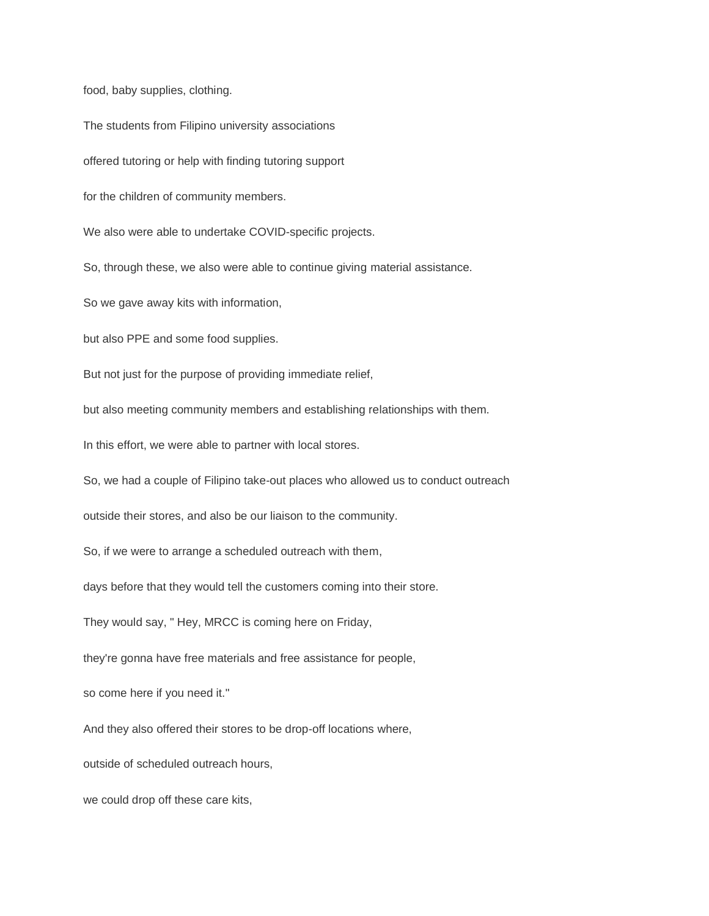food, baby supplies, clothing.

The students from Filipino university associations

offered tutoring or help with finding tutoring support

for the children of community members.

We also were able to undertake COVID-specific projects.

So, through these, we also were able to continue giving material assistance.

So we gave away kits with information,

but also PPE and some food supplies.

But not just for the purpose of providing immediate relief,

but also meeting community members and establishing relationships with them.

In this effort, we were able to partner with local stores.

So, we had a couple of Filipino take-out places who allowed us to conduct outreach

outside their stores, and also be our liaison to the community.

So, if we were to arrange a scheduled outreach with them,

days before that they would tell the customers coming into their store.

They would say, " Hey, MRCC is coming here on Friday,

they're gonna have free materials and free assistance for people,

so come here if you need it."

And they also offered their stores to be drop-off locations where,

outside of scheduled outreach hours,

we could drop off these care kits,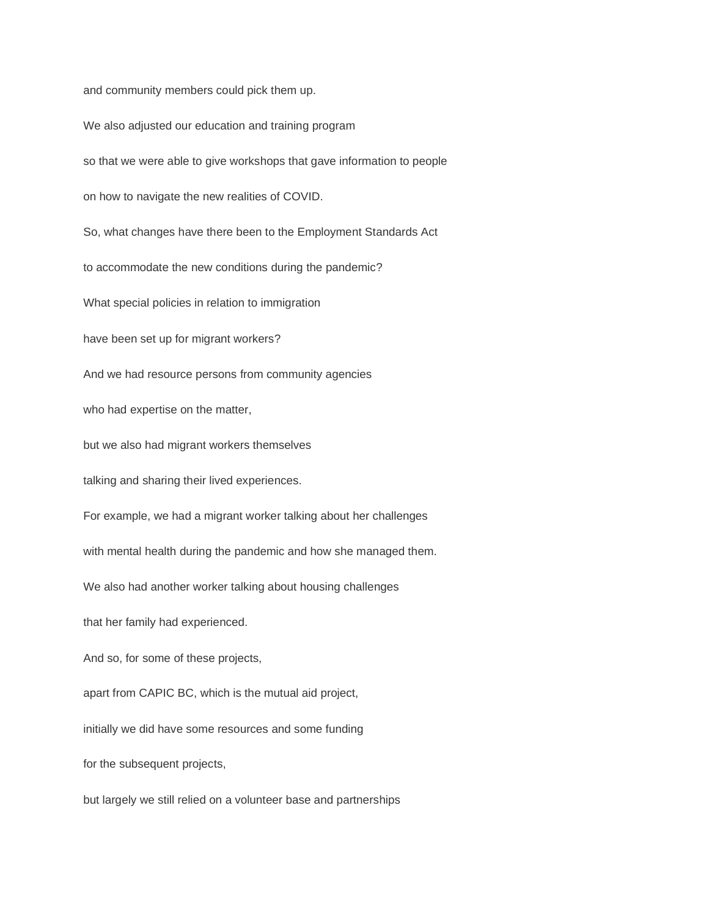and community members could pick them up.

We also adjusted our education and training program so that we were able to give workshops that gave information to people on how to navigate the new realities of COVID. So, what changes have there been to the Employment Standards Act to accommodate the new conditions during the pandemic? What special policies in relation to immigration have been set up for migrant workers? And we had resource persons from community agencies who had expertise on the matter, but we also had migrant workers themselves talking and sharing their lived experiences. For example, we had a migrant worker talking about her challenges with mental health during the pandemic and how she managed them. We also had another worker talking about housing challenges that her family had experienced. And so, for some of these projects, apart from CAPIC BC, which is the mutual aid project, initially we did have some resources and some funding for the subsequent projects, but largely we still relied on a volunteer base and partnerships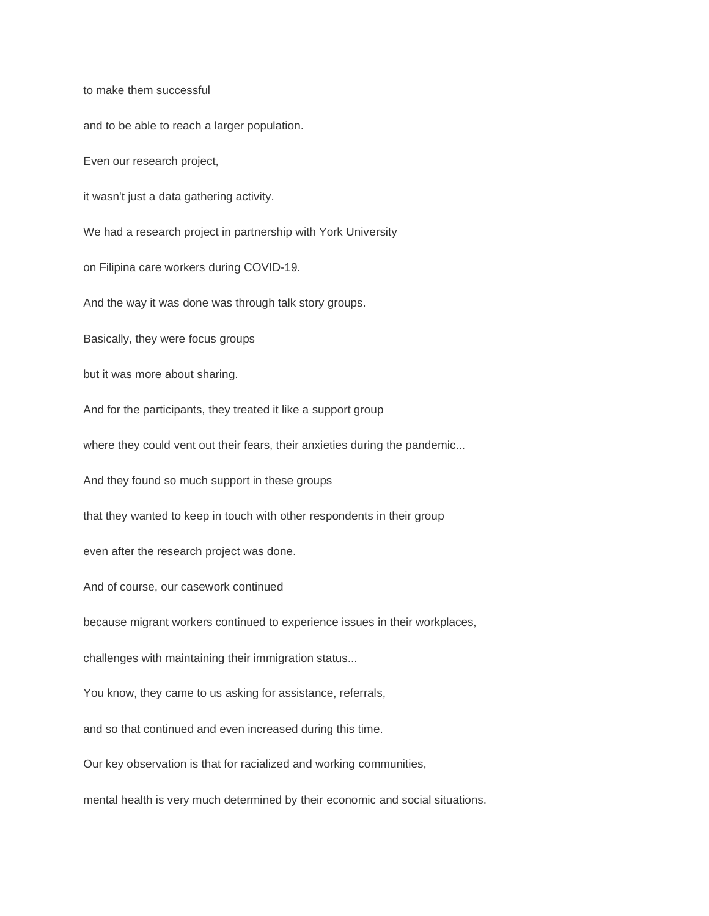to make them successful

and to be able to reach a larger population.

Even our research project,

it wasn't just a data gathering activity.

We had a research project in partnership with York University

on Filipina care workers during COVID-19.

And the way it was done was through talk story groups.

Basically, they were focus groups

but it was more about sharing.

And for the participants, they treated it like a support group

where they could vent out their fears, their anxieties during the pandemic...

And they found so much support in these groups

that they wanted to keep in touch with other respondents in their group

even after the research project was done.

And of course, our casework continued

because migrant workers continued to experience issues in their workplaces,

challenges with maintaining their immigration status...

You know, they came to us asking for assistance, referrals,

and so that continued and even increased during this time.

Our key observation is that for racialized and working communities,

mental health is very much determined by their economic and social situations.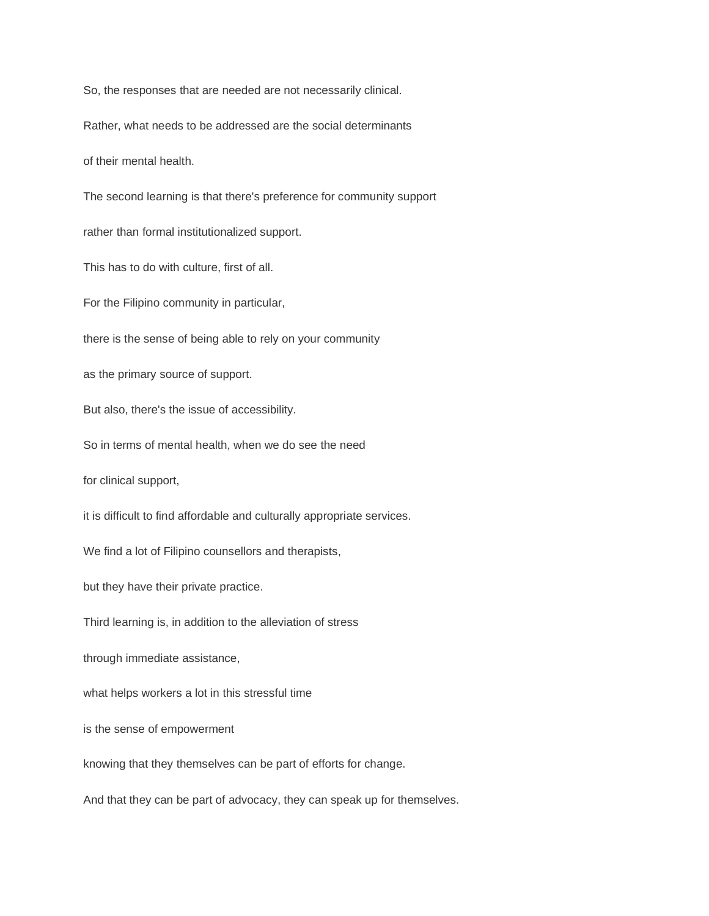So, the responses that are needed are not necessarily clinical.

Rather, what needs to be addressed are the social determinants

of their mental health.

The second learning is that there's preference for community support

rather than formal institutionalized support.

This has to do with culture, first of all.

For the Filipino community in particular,

there is the sense of being able to rely on your community

as the primary source of support.

But also, there's the issue of accessibility.

So in terms of mental health, when we do see the need

for clinical support,

it is difficult to find affordable and culturally appropriate services.

We find a lot of Filipino counsellors and therapists,

but they have their private practice.

Third learning is, in addition to the alleviation of stress

through immediate assistance,

what helps workers a lot in this stressful time

is the sense of empowerment

knowing that they themselves can be part of efforts for change.

And that they can be part of advocacy, they can speak up for themselves.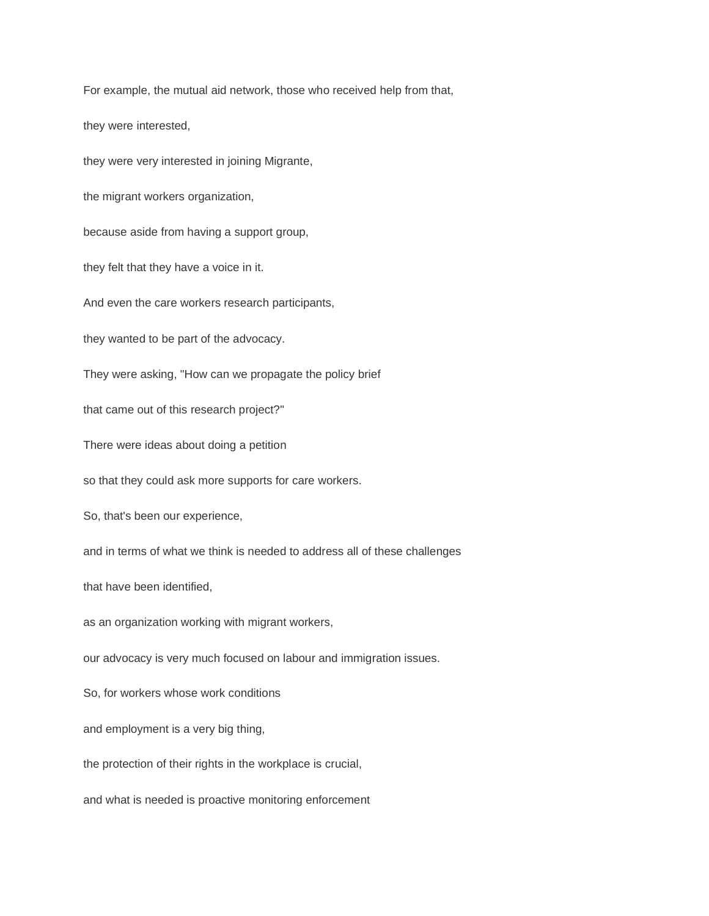For example, the mutual aid network, those who received help from that,

they were interested,

they were very interested in joining Migrante,

the migrant workers organization,

because aside from having a support group,

they felt that they have a voice in it.

And even the care workers research participants,

they wanted to be part of the advocacy.

They were asking, "How can we propagate the policy brief

that came out of this research project?"

There were ideas about doing a petition

so that they could ask more supports for care workers.

So, that's been our experience,

and in terms of what we think is needed to address all of these challenges

that have been identified,

as an organization working with migrant workers,

our advocacy is very much focused on labour and immigration issues.

So, for workers whose work conditions

and employment is a very big thing,

the protection of their rights in the workplace is crucial,

and what is needed is proactive monitoring enforcement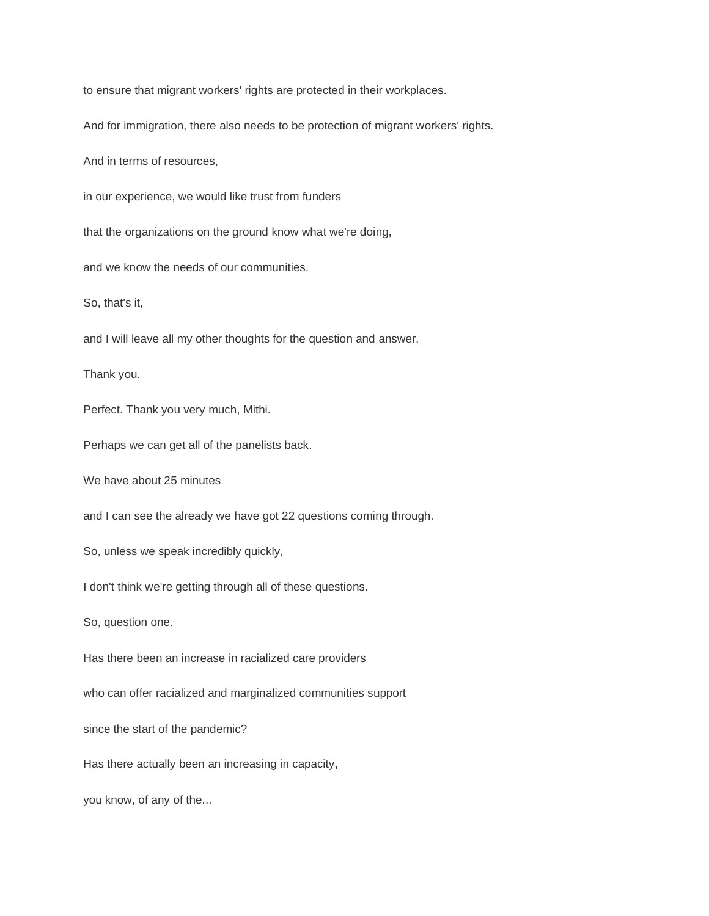to ensure that migrant workers' rights are protected in their workplaces.

And for immigration, there also needs to be protection of migrant workers' rights.

And in terms of resources,

in our experience, we would like trust from funders

that the organizations on the ground know what we're doing,

and we know the needs of our communities.

So, that's it,

and I will leave all my other thoughts for the question and answer.

Thank you.

Perfect. Thank you very much, Mithi.

Perhaps we can get all of the panelists back.

We have about 25 minutes

and I can see the already we have got 22 questions coming through.

So, unless we speak incredibly quickly,

I don't think we're getting through all of these questions.

So, question one.

Has there been an increase in racialized care providers

who can offer racialized and marginalized communities support

since the start of the pandemic?

Has there actually been an increasing in capacity,

you know, of any of the...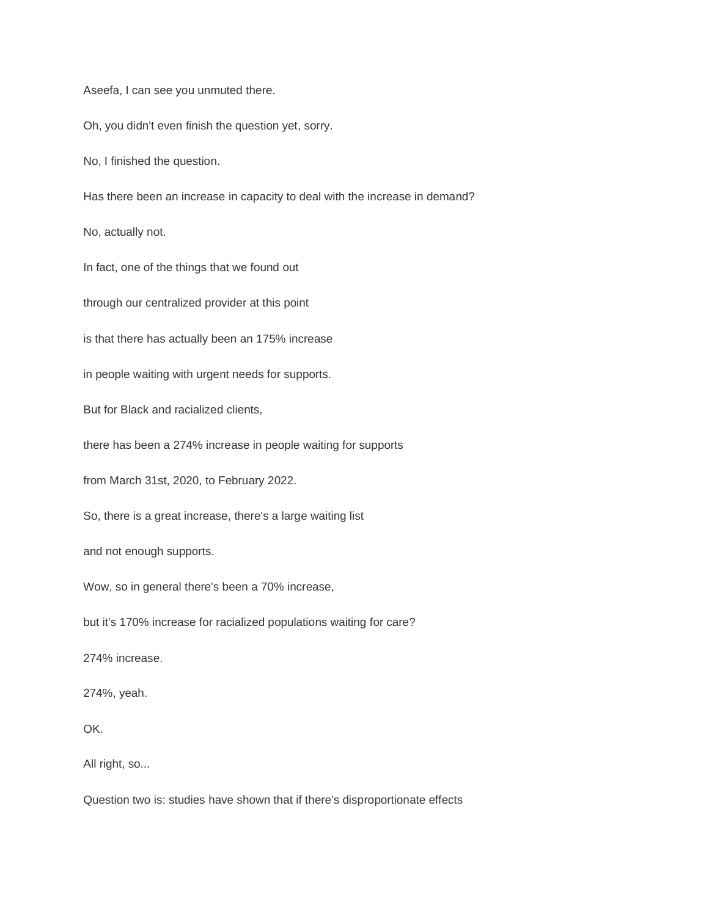Aseefa, I can see you unmuted there.

Oh, you didn't even finish the question yet, sorry.

No, I finished the question.

Has there been an increase in capacity to deal with the increase in demand?

No, actually not.

In fact, one of the things that we found out

through our centralized provider at this point

is that there has actually been an 175% increase

in people waiting with urgent needs for supports.

But for Black and racialized clients,

there has been a 274% increase in people waiting for supports

from March 31st, 2020, to February 2022.

So, there is a great increase, there's a large waiting list

and not enough supports.

Wow, so in general there's been a 70% increase,

but it's 170% increase for racialized populations waiting for care?

274% increase.

274%, yeah.

OK.

All right, so...

Question two is: studies have shown that if there's disproportionate effects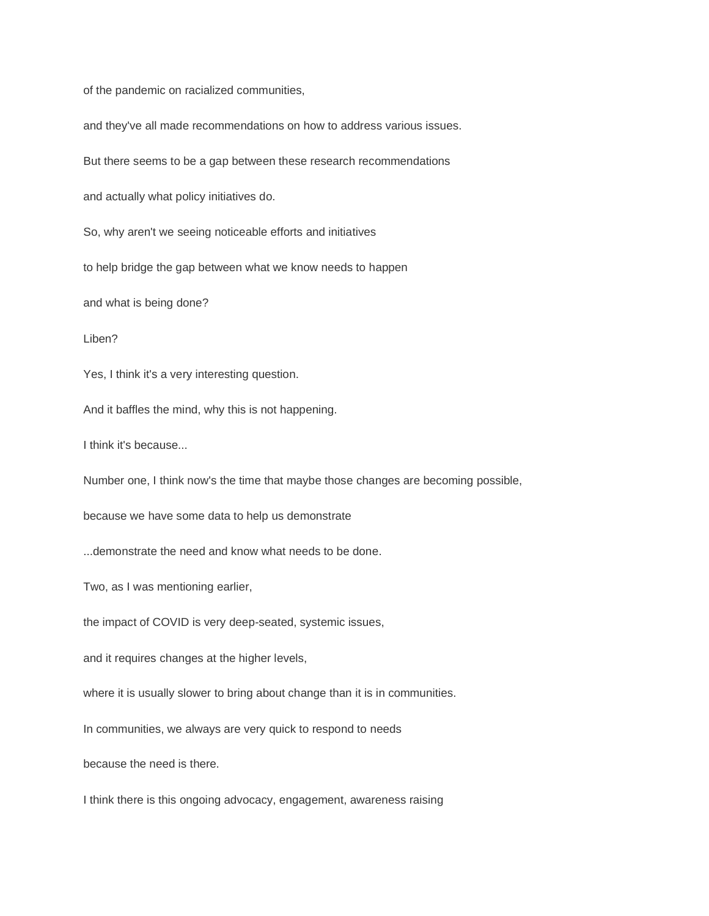of the pandemic on racialized communities,

and they've all made recommendations on how to address various issues.

But there seems to be a gap between these research recommendations

and actually what policy initiatives do.

So, why aren't we seeing noticeable efforts and initiatives

to help bridge the gap between what we know needs to happen

and what is being done?

Liben?

Yes, I think it's a very interesting question.

And it baffles the mind, why this is not happening.

I think it's because...

Number one, I think now's the time that maybe those changes are becoming possible,

because we have some data to help us demonstrate

...demonstrate the need and know what needs to be done.

Two, as I was mentioning earlier,

the impact of COVID is very deep-seated, systemic issues,

and it requires changes at the higher levels,

where it is usually slower to bring about change than it is in communities.

In communities, we always are very quick to respond to needs

because the need is there.

I think there is this ongoing advocacy, engagement, awareness raising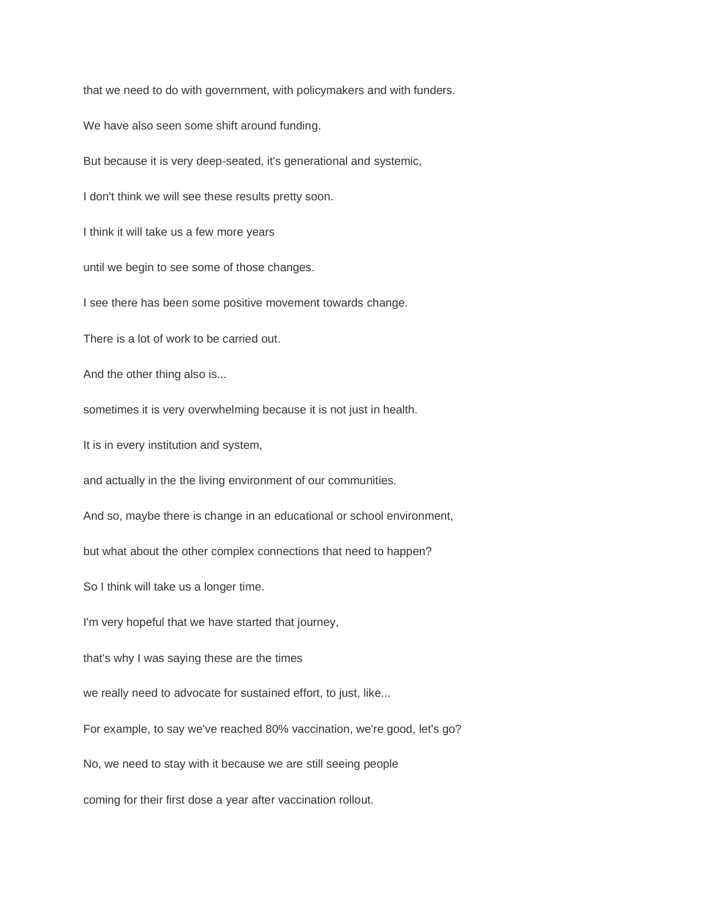that we need to do with government, with policymakers and with funders.

We have also seen some shift around funding.

But because it is very deep-seated, it's generational and systemic,

I don't think we will see these results pretty soon.

I think it will take us a few more years

until we begin to see some of those changes.

I see there has been some positive movement towards change.

There is a lot of work to be carried out.

And the other thing also is...

sometimes it is very overwhelming because it is not just in health.

It is in every institution and system,

and actually in the the living environment of our communities.

And so, maybe there is change in an educational or school environment,

but what about the other complex connections that need to happen?

So I think will take us a longer time.

I'm very hopeful that we have started that journey,

that's why I was saying these are the times

we really need to advocate for sustained effort, to just, like...

For example, to say we've reached 80% vaccination, we're good, let's go?

No, we need to stay with it because we are still seeing people

coming for their first dose a year after vaccination rollout.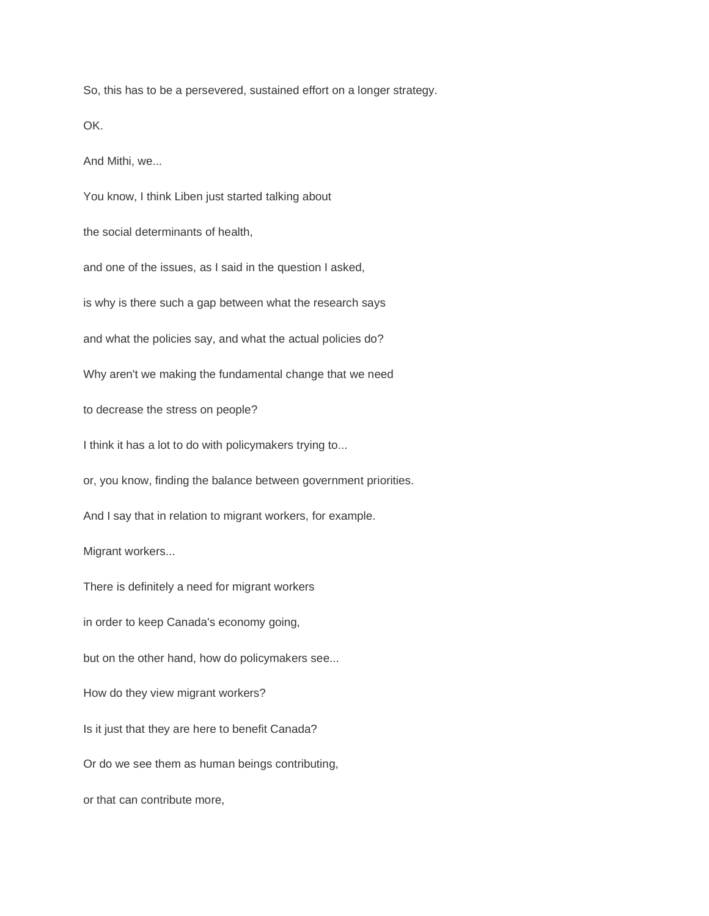So, this has to be a persevered, sustained effort on a longer strategy.

OK.

And Mithi, we...

You know, I think Liben just started talking about the social determinants of health, and one of the issues, as I said in the question I asked, is why is there such a gap between what the research says and what the policies say, and what the actual policies do? Why aren't we making the fundamental change that we need to decrease the stress on people? I think it has a lot to do with policymakers trying to... or, you know, finding the balance between government priorities. And I say that in relation to migrant workers, for example. Migrant workers... There is definitely a need for migrant workers in order to keep Canada's economy going, but on the other hand, how do policymakers see... How do they view migrant workers? Is it just that they are here to benefit Canada? Or do we see them as human beings contributing, or that can contribute more,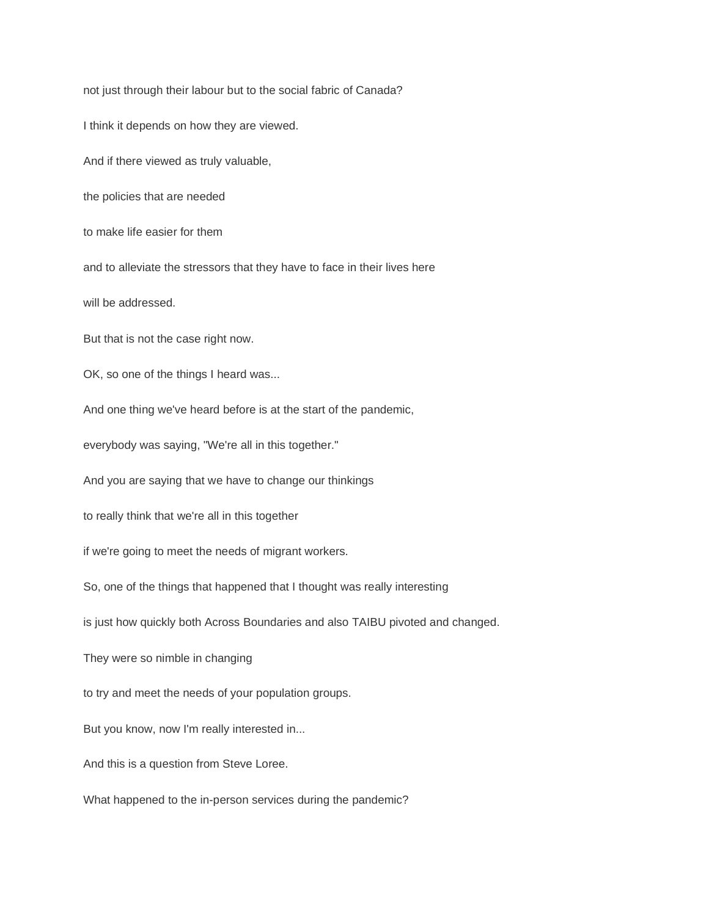not just through their labour but to the social fabric of Canada? I think it depends on how they are viewed. And if there viewed as truly valuable, the policies that are needed to make life easier for them and to alleviate the stressors that they have to face in their lives here will be addressed. But that is not the case right now. OK, so one of the things I heard was... And one thing we've heard before is at the start of the pandemic, everybody was saying, "We're all in this together." And you are saying that we have to change our thinkings to really think that we're all in this together if we're going to meet the needs of migrant workers. So, one of the things that happened that I thought was really interesting is just how quickly both Across Boundaries and also TAIBU pivoted and changed. They were so nimble in changing to try and meet the needs of your population groups. But you know, now I'm really interested in... And this is a question from Steve Loree. What happened to the in-person services during the pandemic?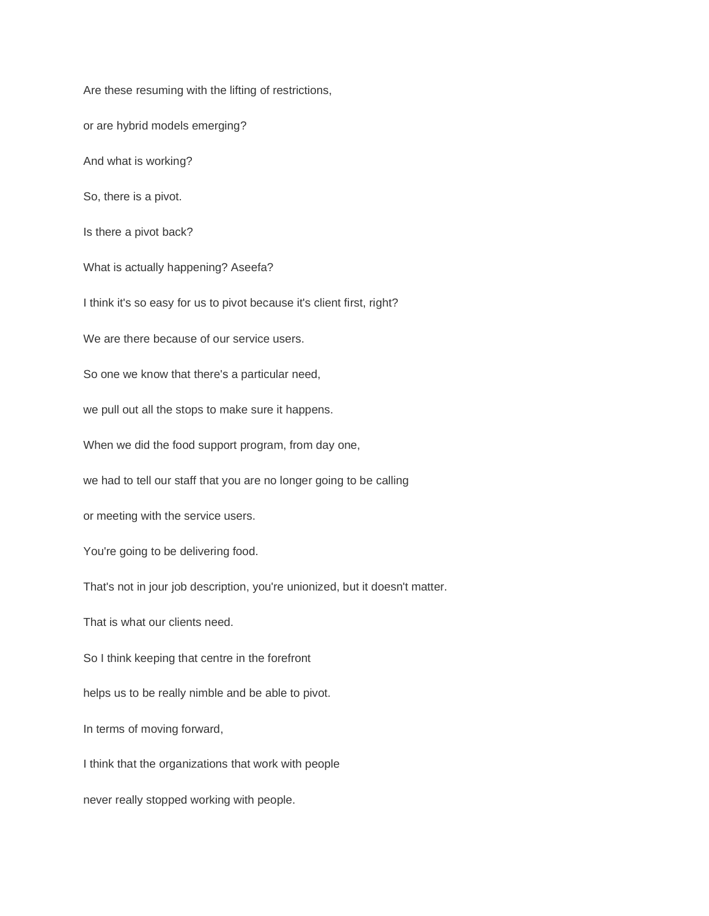Are these resuming with the lifting of restrictions, or are hybrid models emerging? And what is working? So, there is a pivot. Is there a pivot back? What is actually happening? Aseefa? I think it's so easy for us to pivot because it's client first, right? We are there because of our service users. So one we know that there's a particular need, we pull out all the stops to make sure it happens. When we did the food support program, from day one, we had to tell our staff that you are no longer going to be calling or meeting with the service users. You're going to be delivering food. That's not in jour job description, you're unionized, but it doesn't matter. That is what our clients need. So I think keeping that centre in the forefront helps us to be really nimble and be able to pivot. In terms of moving forward, I think that the organizations that work with people never really stopped working with people.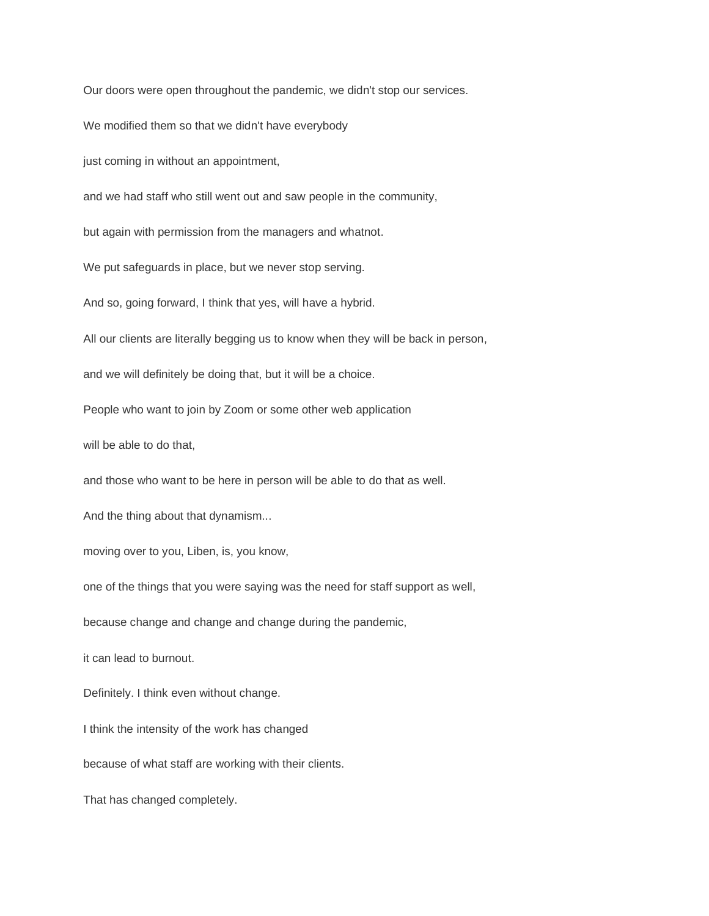Our doors were open throughout the pandemic, we didn't stop our services.

We modified them so that we didn't have everybody

just coming in without an appointment,

and we had staff who still went out and saw people in the community,

but again with permission from the managers and whatnot.

We put safeguards in place, but we never stop serving.

And so, going forward, I think that yes, will have a hybrid.

All our clients are literally begging us to know when they will be back in person,

and we will definitely be doing that, but it will be a choice.

People who want to join by Zoom or some other web application

will be able to do that,

and those who want to be here in person will be able to do that as well.

And the thing about that dynamism...

moving over to you, Liben, is, you know,

one of the things that you were saying was the need for staff support as well,

because change and change and change during the pandemic,

it can lead to burnout.

Definitely. I think even without change.

I think the intensity of the work has changed

because of what staff are working with their clients.

That has changed completely.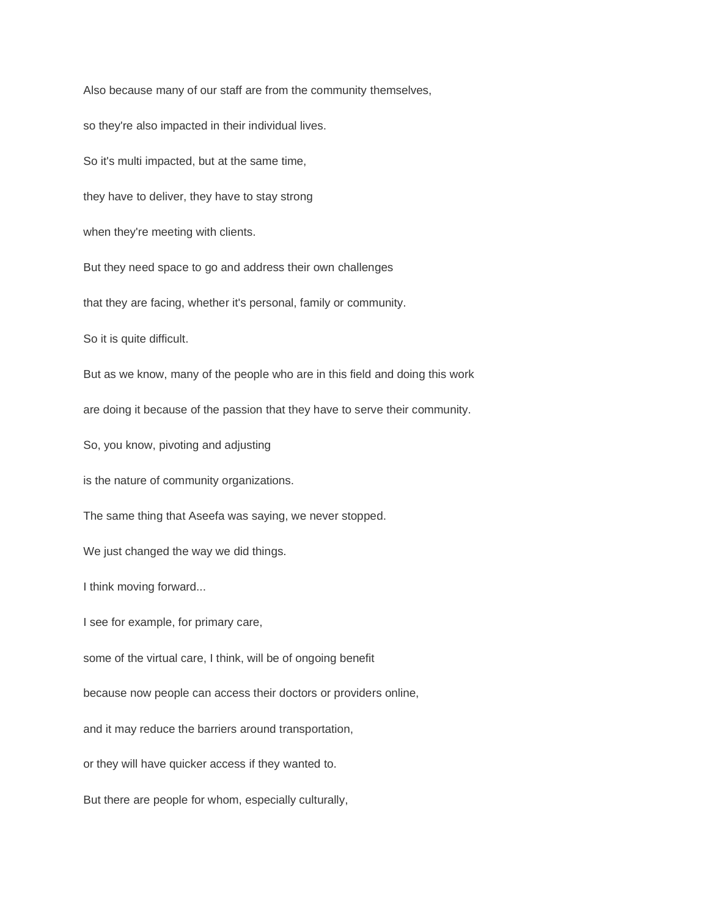Also because many of our staff are from the community themselves, so they're also impacted in their individual lives. So it's multi impacted, but at the same time, they have to deliver, they have to stay strong when they're meeting with clients. But they need space to go and address their own challenges that they are facing, whether it's personal, family or community. So it is quite difficult. But as we know, many of the people who are in this field and doing this work are doing it because of the passion that they have to serve their community. So, you know, pivoting and adjusting is the nature of community organizations. The same thing that Aseefa was saying, we never stopped. We just changed the way we did things. I think moving forward... I see for example, for primary care, some of the virtual care, I think, will be of ongoing benefit because now people can access their doctors or providers online, and it may reduce the barriers around transportation, or they will have quicker access if they wanted to. But there are people for whom, especially culturally,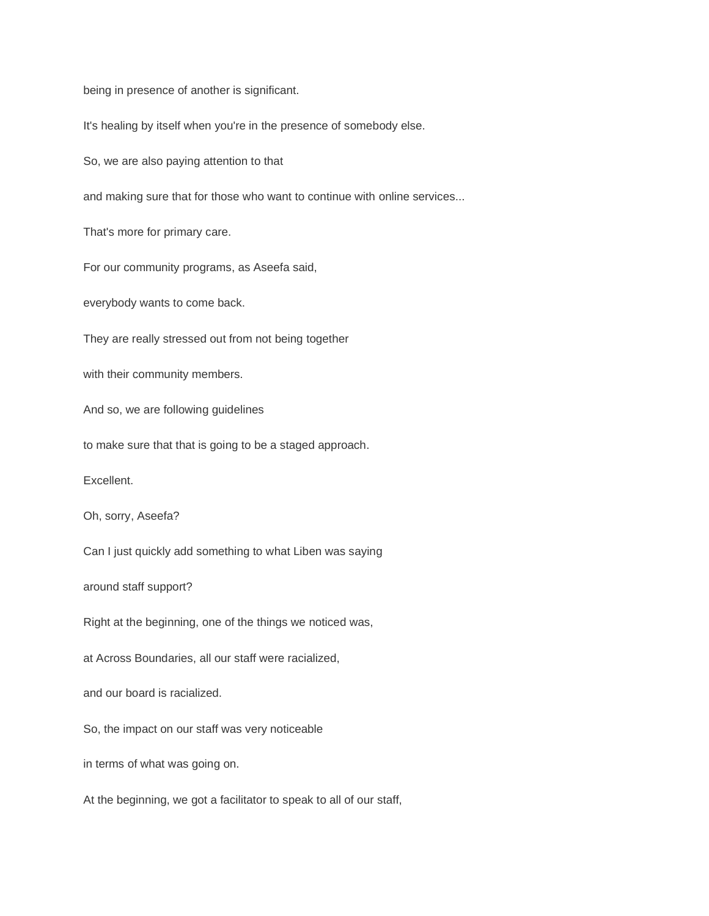being in presence of another is significant.

It's healing by itself when you're in the presence of somebody else.

So, we are also paying attention to that

and making sure that for those who want to continue with online services...

That's more for primary care.

For our community programs, as Aseefa said,

everybody wants to come back.

They are really stressed out from not being together

with their community members.

And so, we are following guidelines

to make sure that that is going to be a staged approach.

Excellent.

Oh, sorry, Aseefa?

Can I just quickly add something to what Liben was saying

around staff support?

Right at the beginning, one of the things we noticed was,

at Across Boundaries, all our staff were racialized,

and our board is racialized.

So, the impact on our staff was very noticeable

in terms of what was going on.

At the beginning, we got a facilitator to speak to all of our staff,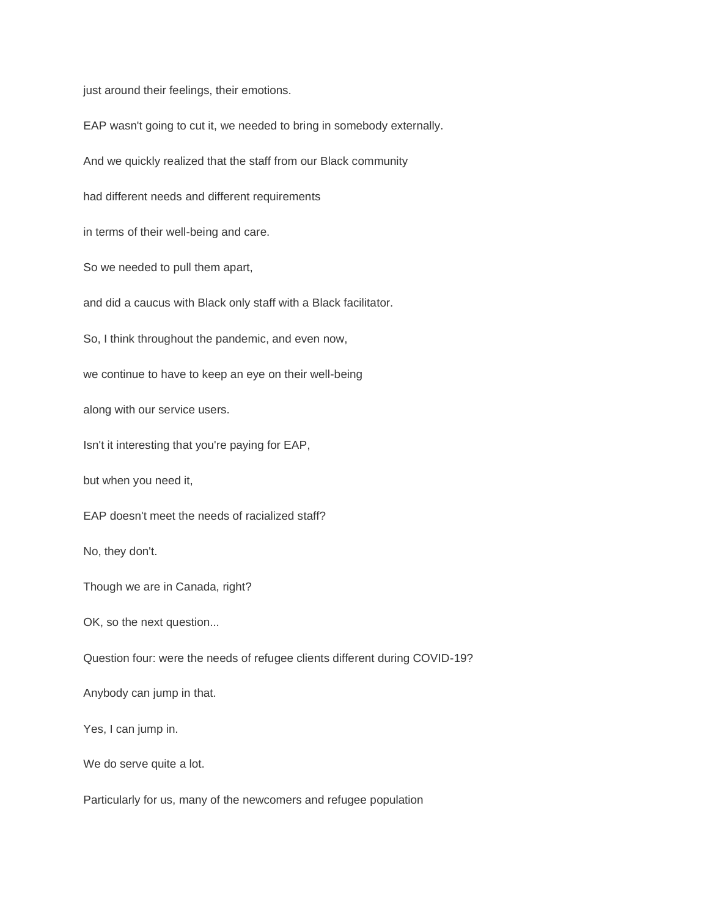just around their feelings, their emotions.

EAP wasn't going to cut it, we needed to bring in somebody externally. And we quickly realized that the staff from our Black community had different needs and different requirements in terms of their well-being and care. So we needed to pull them apart, and did a caucus with Black only staff with a Black facilitator. So, I think throughout the pandemic, and even now, we continue to have to keep an eye on their well-being along with our service users. Isn't it interesting that you're paying for EAP, but when you need it, EAP doesn't meet the needs of racialized staff? No, they don't. Though we are in Canada, right? OK, so the next question... Question four: were the needs of refugee clients different during COVID-19? Anybody can jump in that. Yes, I can jump in. We do serve quite a lot.

Particularly for us, many of the newcomers and refugee population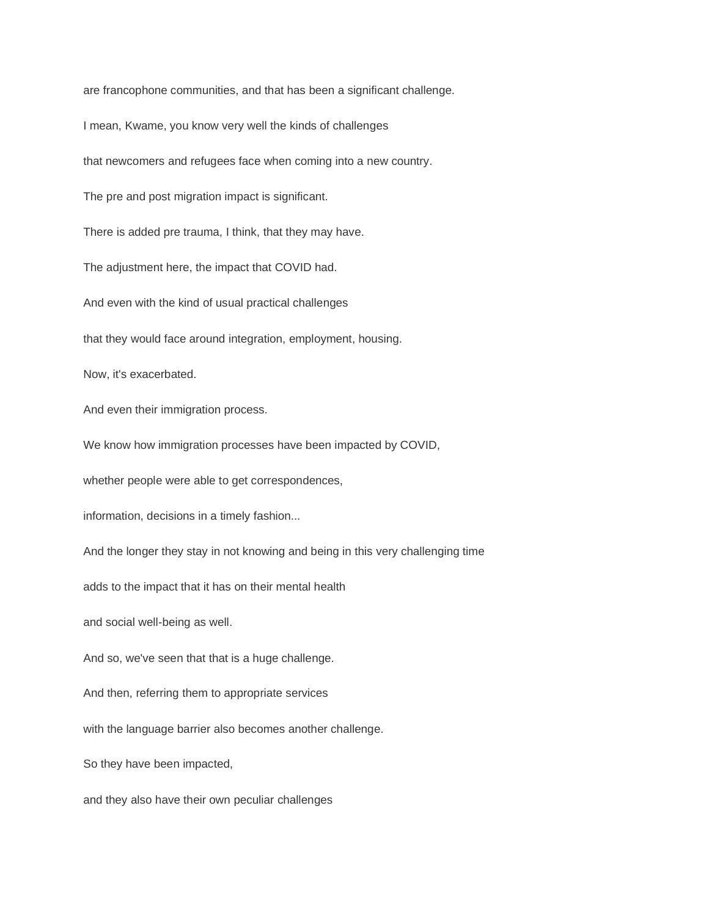are francophone communities, and that has been a significant challenge.

I mean, Kwame, you know very well the kinds of challenges

that newcomers and refugees face when coming into a new country.

The pre and post migration impact is significant.

There is added pre trauma, I think, that they may have.

The adjustment here, the impact that COVID had.

And even with the kind of usual practical challenges

that they would face around integration, employment, housing.

Now, it's exacerbated.

And even their immigration process.

We know how immigration processes have been impacted by COVID,

whether people were able to get correspondences,

information, decisions in a timely fashion...

And the longer they stay in not knowing and being in this very challenging time

adds to the impact that it has on their mental health

and social well-being as well.

And so, we've seen that that is a huge challenge.

And then, referring them to appropriate services

with the language barrier also becomes another challenge.

So they have been impacted,

and they also have their own peculiar challenges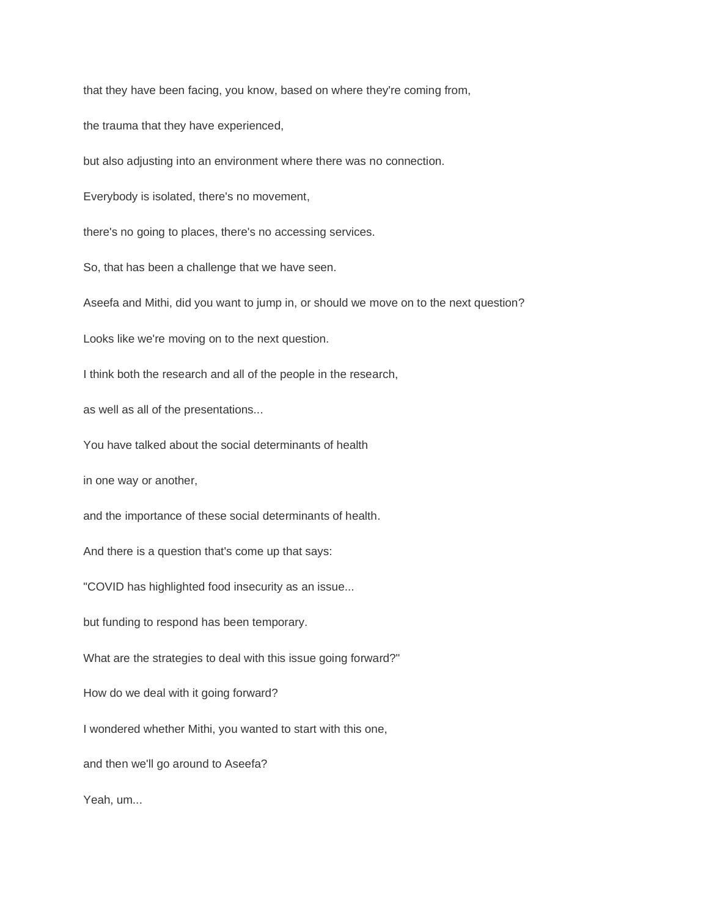that they have been facing, you know, based on where they're coming from,

the trauma that they have experienced,

but also adjusting into an environment where there was no connection.

Everybody is isolated, there's no movement,

there's no going to places, there's no accessing services.

So, that has been a challenge that we have seen.

Aseefa and Mithi, did you want to jump in, or should we move on to the next question?

Looks like we're moving on to the next question.

I think both the research and all of the people in the research,

as well as all of the presentations...

You have talked about the social determinants of health

in one way or another,

and the importance of these social determinants of health.

And there is a question that's come up that says:

"COVID has highlighted food insecurity as an issue...

but funding to respond has been temporary.

What are the strategies to deal with this issue going forward?"

How do we deal with it going forward?

I wondered whether Mithi, you wanted to start with this one,

and then we'll go around to Aseefa?

Yeah, um...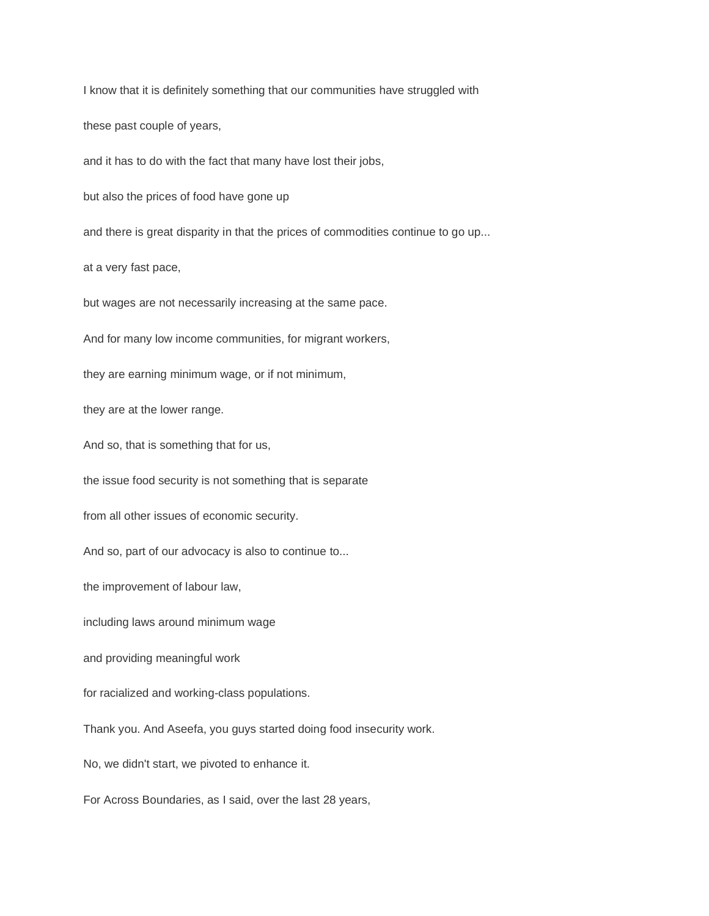I know that it is definitely something that our communities have struggled with these past couple of years, and it has to do with the fact that many have lost their jobs, but also the prices of food have gone up and there is great disparity in that the prices of commodities continue to go up... at a very fast pace, but wages are not necessarily increasing at the same pace. And for many low income communities, for migrant workers, they are earning minimum wage, or if not minimum, they are at the lower range. And so, that is something that for us, the issue food security is not something that is separate from all other issues of economic security. And so, part of our advocacy is also to continue to... the improvement of labour law, including laws around minimum wage and providing meaningful work for racialized and working-class populations. Thank you. And Aseefa, you guys started doing food insecurity work. No, we didn't start, we pivoted to enhance it. For Across Boundaries, as I said, over the last 28 years,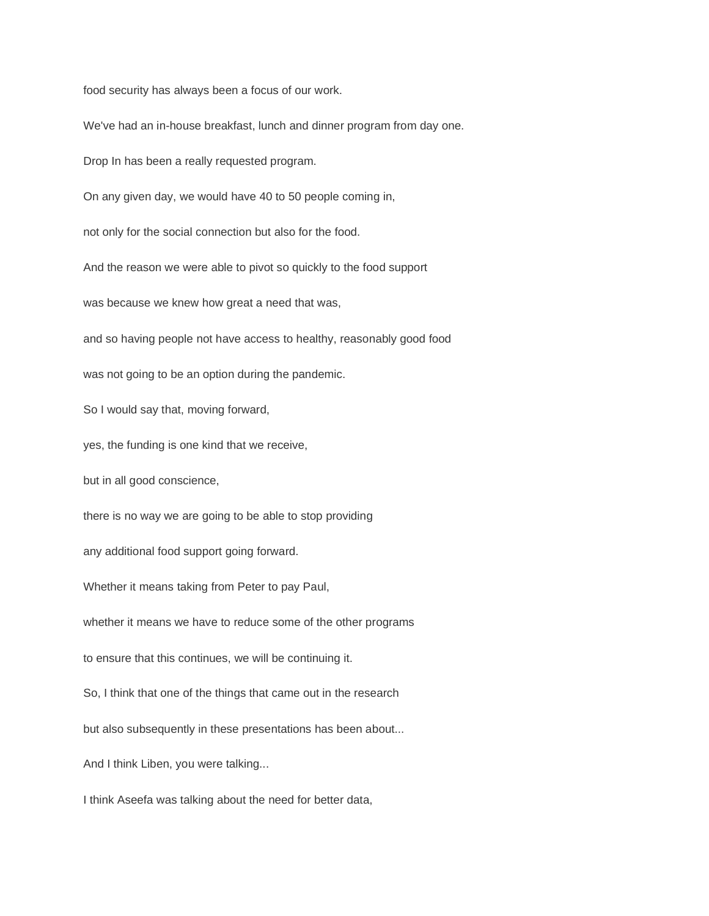food security has always been a focus of our work.

We've had an in-house breakfast, lunch and dinner program from day one. Drop In has been a really requested program. On any given day, we would have 40 to 50 people coming in, not only for the social connection but also for the food. And the reason we were able to pivot so quickly to the food support was because we knew how great a need that was, and so having people not have access to healthy, reasonably good food was not going to be an option during the pandemic. So I would say that, moving forward, yes, the funding is one kind that we receive, but in all good conscience, there is no way we are going to be able to stop providing any additional food support going forward. Whether it means taking from Peter to pay Paul, whether it means we have to reduce some of the other programs to ensure that this continues, we will be continuing it. So, I think that one of the things that came out in the research but also subsequently in these presentations has been about... And I think Liben, you were talking... I think Aseefa was talking about the need for better data,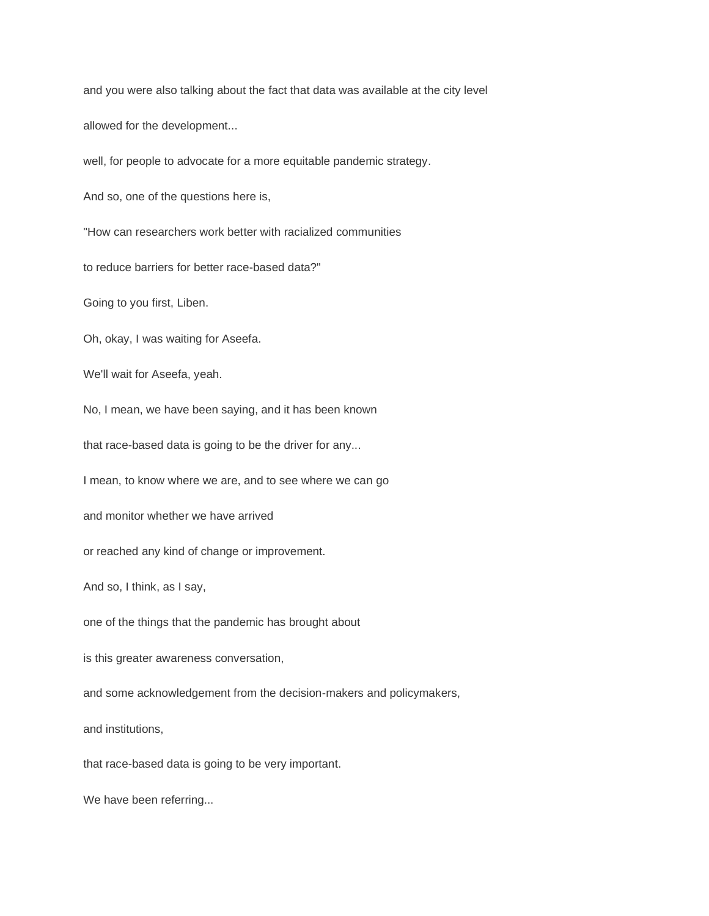and you were also talking about the fact that data was available at the city level allowed for the development... well, for people to advocate for a more equitable pandemic strategy. And so, one of the questions here is, "How can researchers work better with racialized communities to reduce barriers for better race-based data?" Going to you first, Liben. Oh, okay, I was waiting for Aseefa. We'll wait for Aseefa, yeah. No, I mean, we have been saying, and it has been known that race-based data is going to be the driver for any... I mean, to know where we are, and to see where we can go and monitor whether we have arrived or reached any kind of change or improvement. And so, I think, as I say, one of the things that the pandemic has brought about is this greater awareness conversation, and some acknowledgement from the decision-makers and policymakers, and institutions, that race-based data is going to be very important. We have been referring...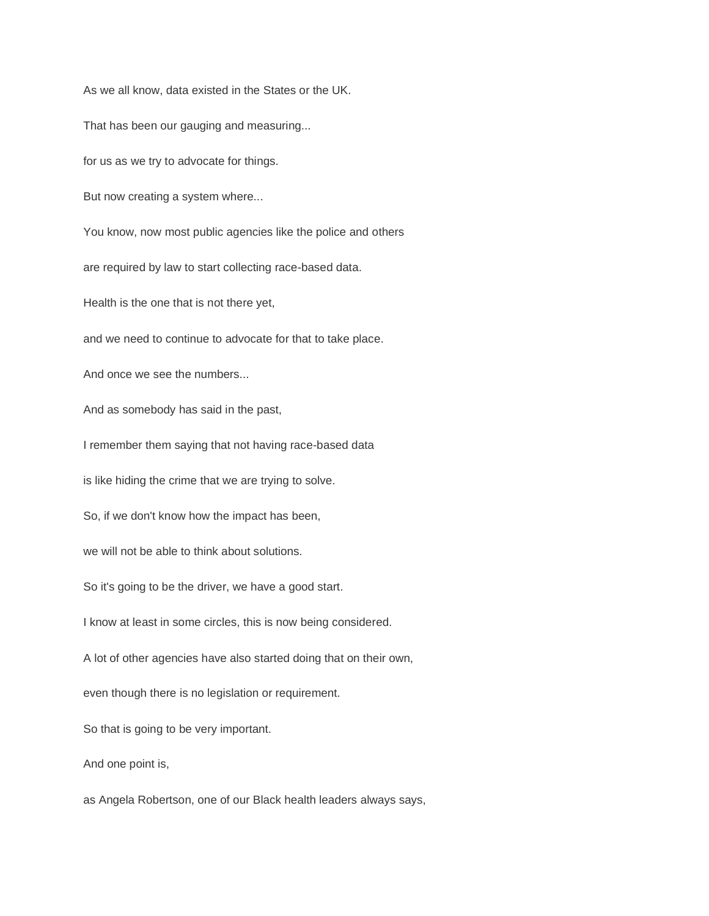As we all know, data existed in the States or the UK. That has been our gauging and measuring... for us as we try to advocate for things. But now creating a system where... You know, now most public agencies like the police and others are required by law to start collecting race-based data. Health is the one that is not there yet, and we need to continue to advocate for that to take place. And once we see the numbers... And as somebody has said in the past, I remember them saying that not having race-based data is like hiding the crime that we are trying to solve. So, if we don't know how the impact has been, we will not be able to think about solutions. So it's going to be the driver, we have a good start.

I know at least in some circles, this is now being considered.

A lot of other agencies have also started doing that on their own,

even though there is no legislation or requirement.

So that is going to be very important.

And one point is,

as Angela Robertson, one of our Black health leaders always says,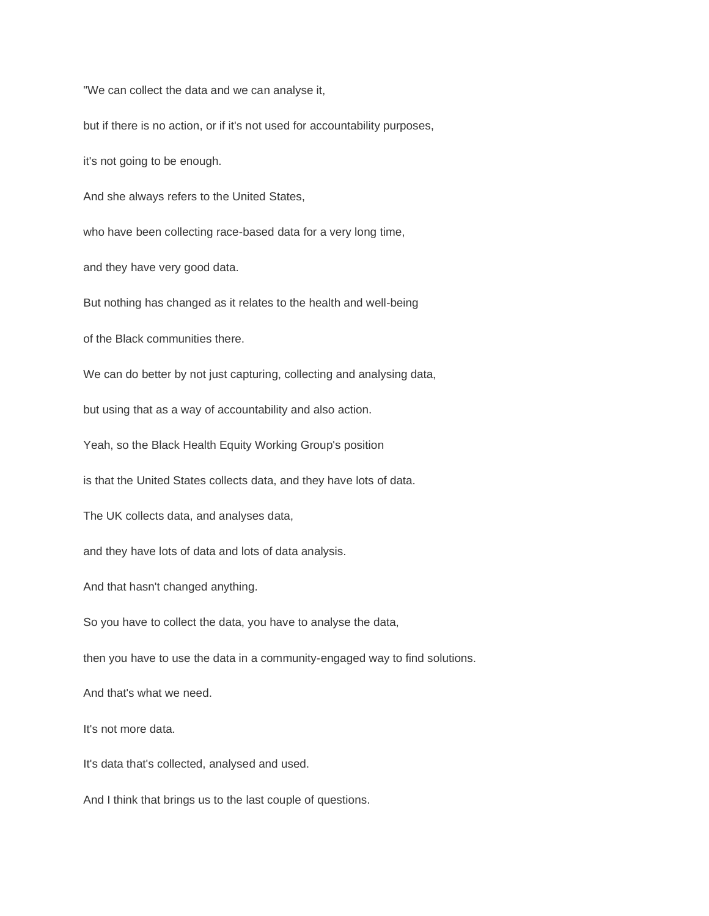"We can collect the data and we can analyse it,

but if there is no action, or if it's not used for accountability purposes,

it's not going to be enough.

And she always refers to the United States,

who have been collecting race-based data for a very long time,

and they have very good data.

But nothing has changed as it relates to the health and well-being

of the Black communities there.

We can do better by not just capturing, collecting and analysing data,

but using that as a way of accountability and also action.

Yeah, so the Black Health Equity Working Group's position

is that the United States collects data, and they have lots of data.

The UK collects data, and analyses data,

and they have lots of data and lots of data analysis.

And that hasn't changed anything.

So you have to collect the data, you have to analyse the data,

then you have to use the data in a community-engaged way to find solutions.

And that's what we need.

It's not more data.

It's data that's collected, analysed and used.

And I think that brings us to the last couple of questions.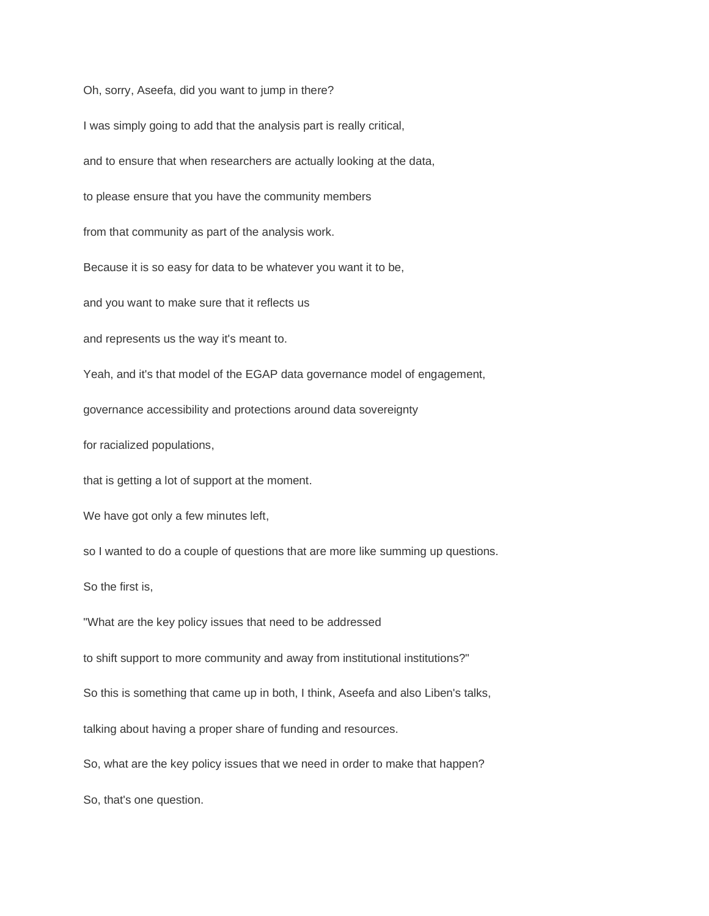Oh, sorry, Aseefa, did you want to jump in there?

I was simply going to add that the analysis part is really critical,

and to ensure that when researchers are actually looking at the data,

to please ensure that you have the community members

from that community as part of the analysis work.

Because it is so easy for data to be whatever you want it to be,

and you want to make sure that it reflects us

and represents us the way it's meant to.

Yeah, and it's that model of the EGAP data governance model of engagement,

governance accessibility and protections around data sovereignty

for racialized populations,

that is getting a lot of support at the moment.

We have got only a few minutes left,

so I wanted to do a couple of questions that are more like summing up questions.

So the first is,

"What are the key policy issues that need to be addressed

to shift support to more community and away from institutional institutions?"

So this is something that came up in both, I think, Aseefa and also Liben's talks,

talking about having a proper share of funding and resources.

So, what are the key policy issues that we need in order to make that happen?

So, that's one question.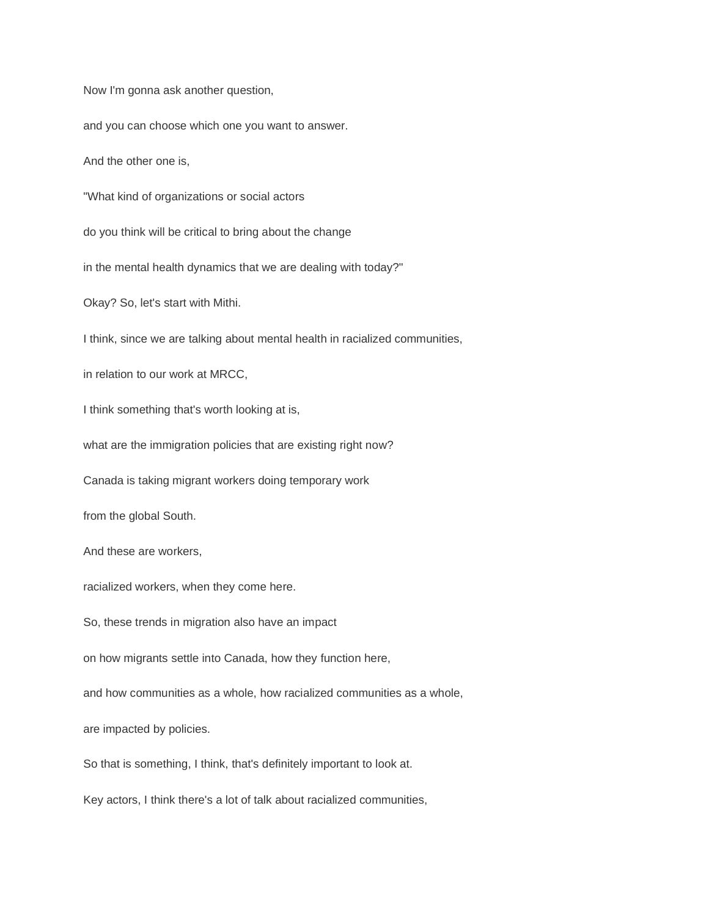Now I'm gonna ask another question,

and you can choose which one you want to answer.

And the other one is,

"What kind of organizations or social actors

do you think will be critical to bring about the change

in the mental health dynamics that we are dealing with today?"

Okay? So, let's start with Mithi.

I think, since we are talking about mental health in racialized communities,

in relation to our work at MRCC,

I think something that's worth looking at is,

what are the immigration policies that are existing right now?

Canada is taking migrant workers doing temporary work

from the global South.

And these are workers,

racialized workers, when they come here.

So, these trends in migration also have an impact

on how migrants settle into Canada, how they function here,

and how communities as a whole, how racialized communities as a whole,

are impacted by policies.

So that is something, I think, that's definitely important to look at.

Key actors, I think there's a lot of talk about racialized communities,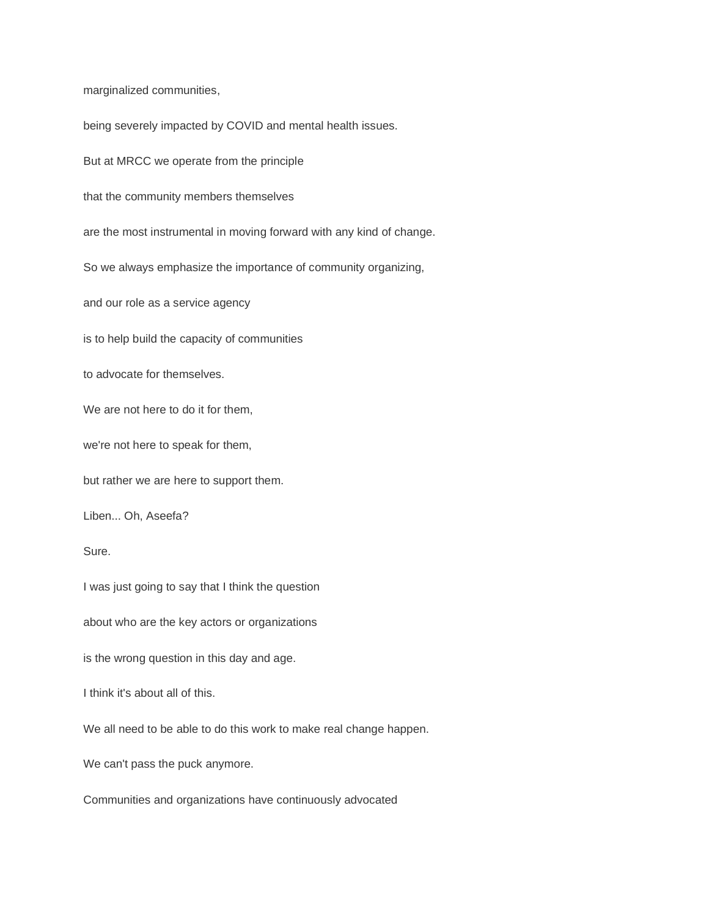marginalized communities,

being severely impacted by COVID and mental health issues. But at MRCC we operate from the principle that the community members themselves are the most instrumental in moving forward with any kind of change. So we always emphasize the importance of community organizing, and our role as a service agency is to help build the capacity of communities to advocate for themselves. We are not here to do it for them, we're not here to speak for them, but rather we are here to support them. Liben... Oh, Aseefa? Sure. I was just going to say that I think the question about who are the key actors or organizations is the wrong question in this day and age. I think it's about all of this. We all need to be able to do this work to make real change happen. We can't pass the puck anymore. Communities and organizations have continuously advocated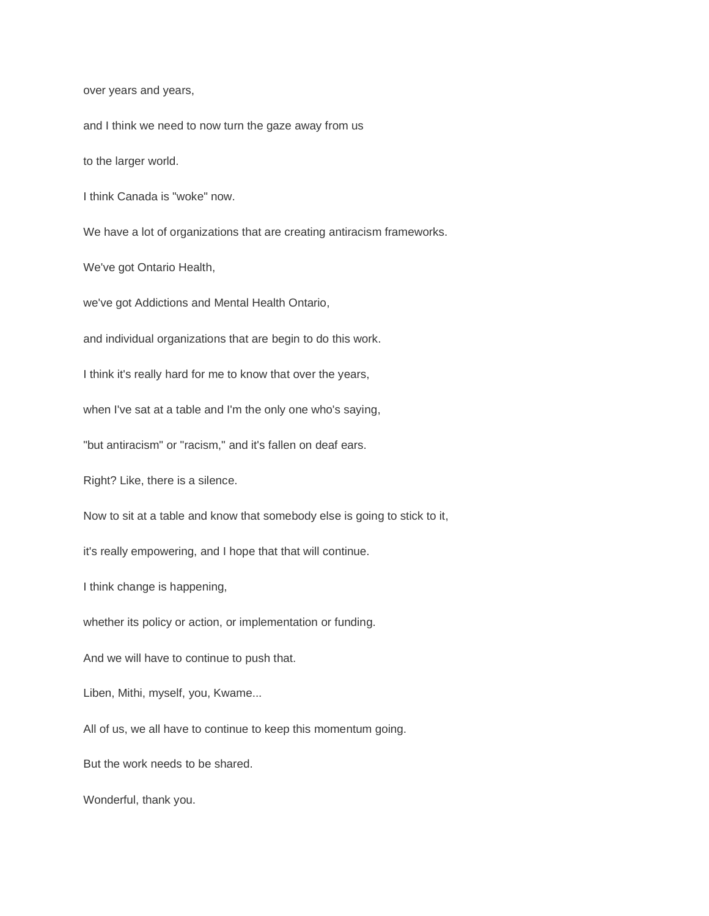over years and years,

and I think we need to now turn the gaze away from us

to the larger world.

I think Canada is "woke" now.

We have a lot of organizations that are creating antiracism frameworks.

We've got Ontario Health,

we've got Addictions and Mental Health Ontario,

and individual organizations that are begin to do this work.

I think it's really hard for me to know that over the years,

when I've sat at a table and I'm the only one who's saying,

"but antiracism" or "racism," and it's fallen on deaf ears.

Right? Like, there is a silence.

Now to sit at a table and know that somebody else is going to stick to it,

it's really empowering, and I hope that that will continue.

I think change is happening,

whether its policy or action, or implementation or funding.

And we will have to continue to push that.

Liben, Mithi, myself, you, Kwame...

All of us, we all have to continue to keep this momentum going.

But the work needs to be shared.

Wonderful, thank you.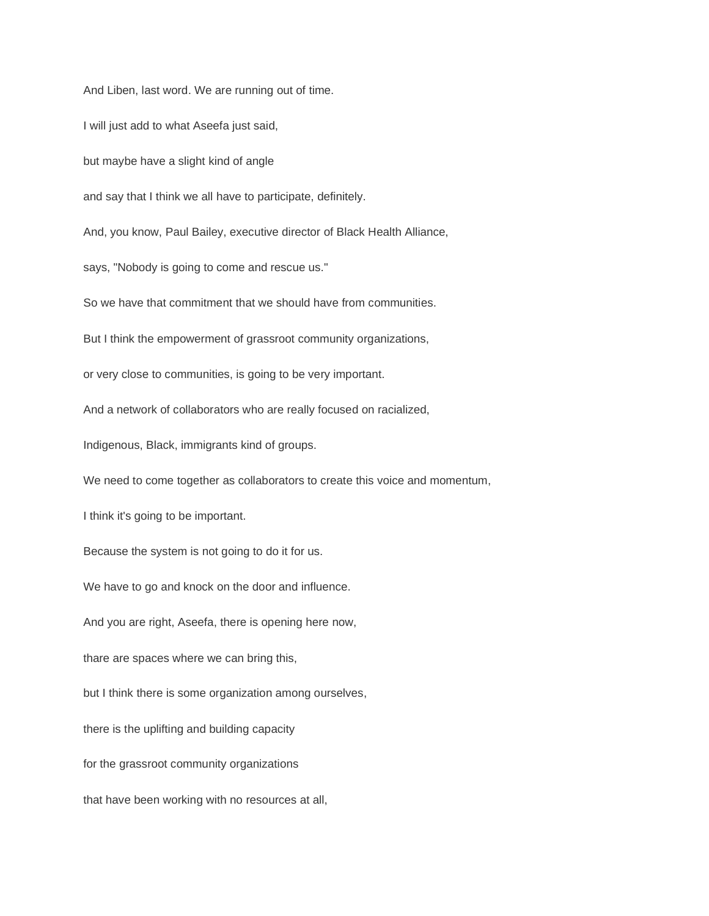And Liben, last word. We are running out of time. I will just add to what Aseefa just said, but maybe have a slight kind of angle and say that I think we all have to participate, definitely. And, you know, Paul Bailey, executive director of Black Health Alliance, says, "Nobody is going to come and rescue us." So we have that commitment that we should have from communities. But I think the empowerment of grassroot community organizations, or very close to communities, is going to be very important. And a network of collaborators who are really focused on racialized, Indigenous, Black, immigrants kind of groups. We need to come together as collaborators to create this voice and momentum, I think it's going to be important. Because the system is not going to do it for us. We have to go and knock on the door and influence. And you are right, Aseefa, there is opening here now, thare are spaces where we can bring this, but I think there is some organization among ourselves, there is the uplifting and building capacity for the grassroot community organizations that have been working with no resources at all,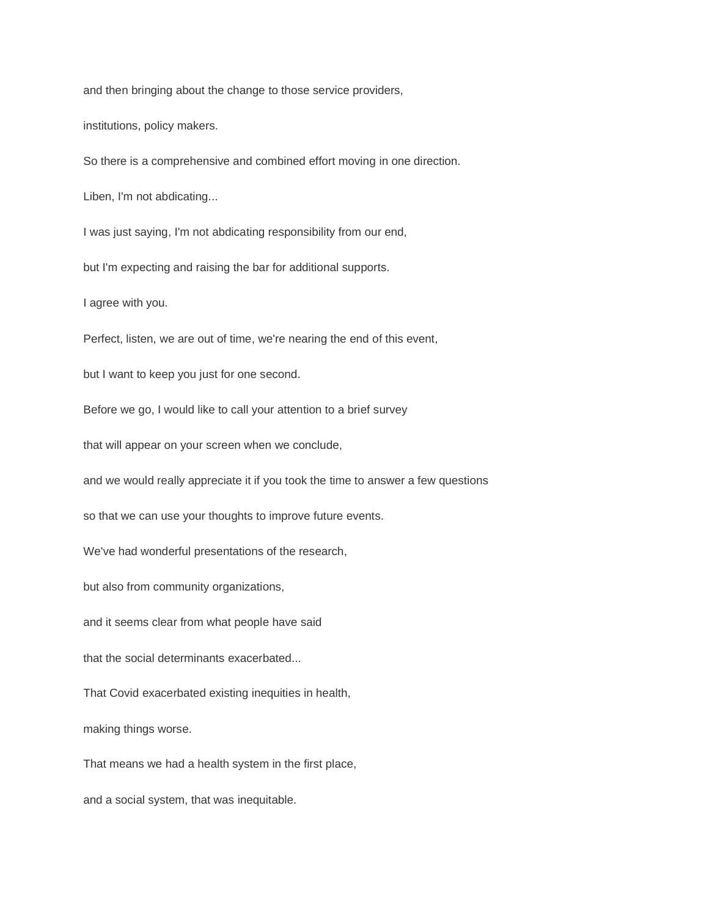and then bringing about the change to those service providers,

institutions, policy makers.

So there is a comprehensive and combined effort moving in one direction.

Liben, I'm not abdicating...

I was just saying, I'm not abdicating responsibility from our end,

but I'm expecting and raising the bar for additional supports.

I agree with you.

Perfect, listen, we are out of time, we're nearing the end of this event,

but I want to keep you just for one second.

Before we go, I would like to call your attention to a brief survey

that will appear on your screen when we conclude,

and we would really appreciate it if you took the time to answer a few questions

so that we can use your thoughts to improve future events.

We've had wonderful presentations of the research,

but also from community organizations,

and it seems clear from what people have said

that the social determinants exacerbated...

That Covid exacerbated existing inequities in health,

making things worse.

That means we had a health system in the first place,

and a social system, that was inequitable.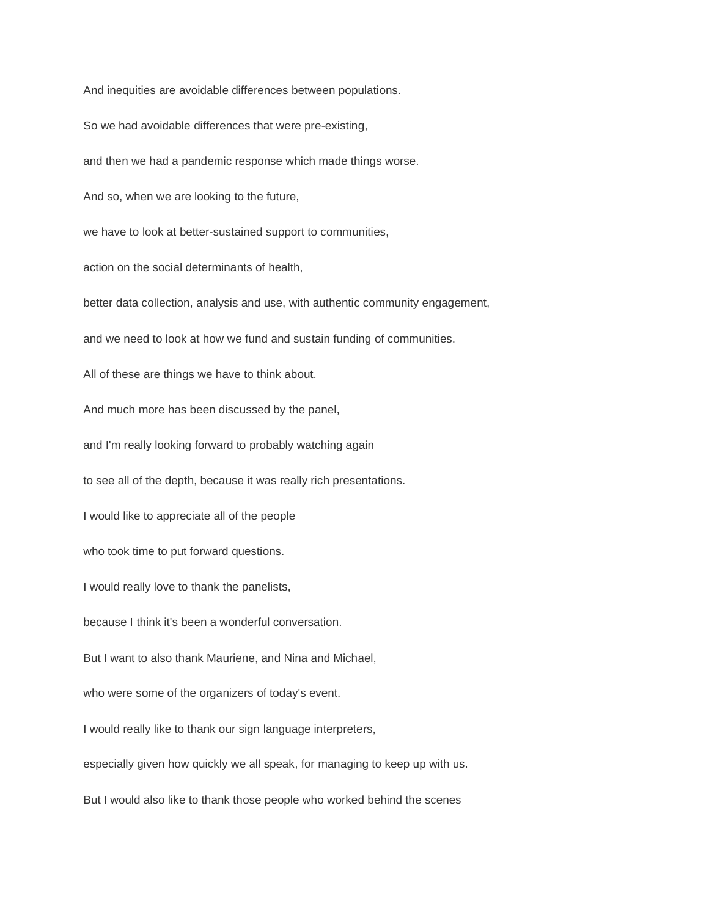And inequities are avoidable differences between populations.

So we had avoidable differences that were pre-existing,

and then we had a pandemic response which made things worse.

And so, when we are looking to the future,

we have to look at better-sustained support to communities,

action on the social determinants of health,

better data collection, analysis and use, with authentic community engagement,

and we need to look at how we fund and sustain funding of communities.

All of these are things we have to think about.

And much more has been discussed by the panel,

and I'm really looking forward to probably watching again

to see all of the depth, because it was really rich presentations.

I would like to appreciate all of the people

who took time to put forward questions.

I would really love to thank the panelists,

because I think it's been a wonderful conversation.

But I want to also thank Mauriene, and Nina and Michael,

who were some of the organizers of today's event.

I would really like to thank our sign language interpreters,

especially given how quickly we all speak, for managing to keep up with us.

But I would also like to thank those people who worked behind the scenes